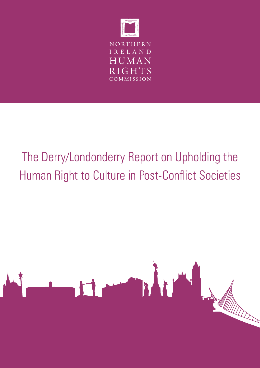

# The Derry/Londonderry Report on Upholding the Human Right to Culture in Post-Conflict Societies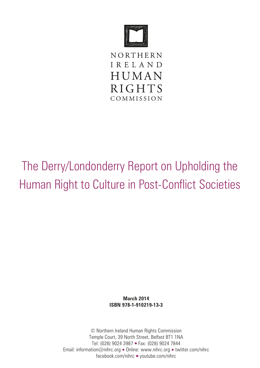

# The Derry/Londonderry Report on Upholding the Human Right to Culture in Post-Conflict Societies

**March 2014 ISBN 978-1-910219-13-3**

© Northern Ireland Human Rights Commission Temple Court, 39 North Street, Belfast BT1 1NA Tel: (028) 9024 3987 = Fax: (028) 9024 7844 Email: information@nihrc.org  $\blacksquare$  Online: www.nihrc.org  $\blacksquare$  twitter.com/nihrc facebook.com/nihrc voutube.com/nihrc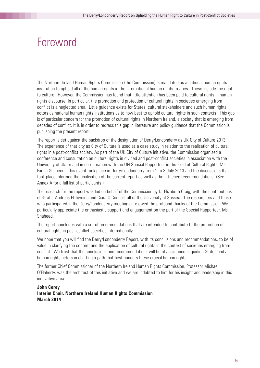### Foreword

The Northern Ireland Human Rights Commission (the Commission) is mandated as a national human rights institution to uphold all of the human rights in the international human rights treaties. These include the right to culture. However, the Commission has found that little attention has been paid to cultural rights in human rights discourse. In particular, the promotion and protection of cultural rights in societies emerging from conflict is a neglected area. Little guidance exists for States, cultural stakeholders and such human rights actors as national human rights institutions as to how best to uphold cultural rights in such contexts. This gap is of particular concern for the promotion of cultural rights in Northern Ireland, a society that is emerging from decades of conflict. It is in order to redress this gap in literature and policy guidance that the Commission is publishing the present report.

The report is set against the backdrop of the designation of Derry/Londonderry as UK City of Culture 2013. The experience of that city as City of Culture is used as a case study in relation to the realisation of cultural rights in a post-conflict society. As part of the UK City of Culture initiative, the Commission organised a conference and consultation on cultural rights in divided and post-conflict societies in association with the University of Ulster and in co-operation with the UN Special Rapporteur in the Field of Cultural Rights, Ms Farida Shaheed. This event took place in Derry/Londonderry from 1 to 3 July 2013 and the discussions that took place informed the finalisation of the current report as well as the attached recommendations. (See Annex A for a full list of participants.)

The research for the report was led on behalf of the Commission by Dr Elizabeth Craig, with the contributions of Stratis-Andreas Efthymiou and Ciara O'Connell, all of the University of Sussex. The researchers and those who participated in the Derry/Londonderry meetings are owed the profound thanks of the Commission. We particularly appreciate the enthusiastic support and engagement on the part of the Special Rapporteur, Ms Shaheed.

The report concludes with a set of recommendations that are intended to contribute to the protection of cultural rights in post-conflict societies internationally.

We hope that you will find the Derry/Londonderry Report, with its conclusions and recommendations, to be of value in clarifying the content and the application of cultural rights in the context of societies emerging from conflict. We trust that the conclusions and recommendations will be of assistance in guiding States and all human rights actors in charting a path that best honours these crucial human rights.

The former Chief Commissioner of the Northern Ireland Human Rights Commission, Professor Michael O'Flaherty, was the architect of this initiative and we are indebted to him for his insight and leadership in this innovative area.

**John Corey Interim Chair, Northern Ireland Human Rights Commission March 2014**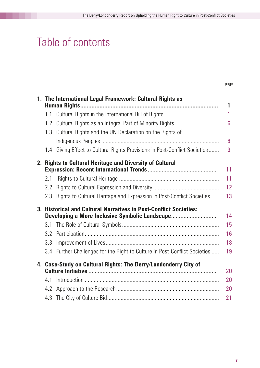### Table of contents

|  | page |
|--|------|
|  |      |

|    |                  | 1. The International Legal Framework: Cultural Rights as                                                            | 1            |
|----|------------------|---------------------------------------------------------------------------------------------------------------------|--------------|
|    | 1.1              |                                                                                                                     | $\mathbf{1}$ |
|    | $1.2^{\circ}$    |                                                                                                                     | 6            |
|    | 1.3              | Cultural Rights and the UN Declaration on the Rights of                                                             |              |
|    |                  |                                                                                                                     | 8            |
|    |                  | 1.4 Giving Effect to Cultural Rights Provisions in Post-Conflict Societies                                          | 9            |
| 2. |                  | <b>Rights to Cultural Heritage and Diversity of Cultural</b>                                                        | 11           |
|    | 2.1              |                                                                                                                     | 11           |
|    | $2.2\phantom{0}$ |                                                                                                                     | 12           |
|    | 2.3              | Rights to Cultural Heritage and Expression in Post-Conflict Societies                                               | 13           |
|    |                  | 3. Historical and Cultural Narratives in Post-Conflict Societies:<br>Developing a More Inclusive Symbolic Landscape | 14           |
|    |                  |                                                                                                                     | 15           |
|    |                  |                                                                                                                     | 16           |
|    | 3.3              |                                                                                                                     | 18           |
|    |                  | 3.4 Further Challenges for the Right to Culture in Post-Conflict Societies                                          | 19           |
|    |                  | 4. Case-Study on Cultural Rights: The Derry/Londonderry City of                                                     | 20           |
|    | 4.1              |                                                                                                                     | 20           |
|    | 4.2              |                                                                                                                     | 20           |
|    |                  |                                                                                                                     | 21           |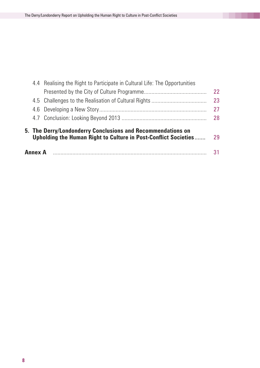| Annex A |                                                                                                                                |    |
|---------|--------------------------------------------------------------------------------------------------------------------------------|----|
|         | 5. The Derry/Londonderry Conclusions and Recommendations on<br>Upholding the Human Right to Culture in Post-Conflict Societies | 29 |
|         |                                                                                                                                | 28 |
|         |                                                                                                                                | 27 |
|         |                                                                                                                                | 23 |
|         |                                                                                                                                | 22 |
|         | 4.4 Realising the Right to Participate in Cultural Life: The Opportunities                                                     |    |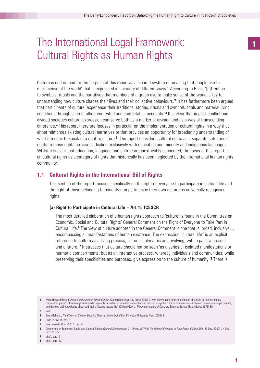### The International Legal Framework: Cultural Rights as Human Rights

Culture is understood for the purpose of this report as a 'shared system of meaning that people use to make sense of the world' that is expressed in a variety of different ways.**<sup>1</sup>** According to Ross, '[a]ttention to symbols, rituals and the narratives that members of a group use to make sense of the world is key to understanding how culture shapes their lives and their collective behaviours.'**<sup>2</sup>** It has furthermore been argued that participants of culture 'experience their traditions, stories, rituals and symbols, tools and material living conditions through shared, albeit contested and contestable, accounts.'**<sup>3</sup>** It is clear that in post-conflict and divided societies cultural expression can serve both as a marker of division and as a way of transcending difference.**<sup>4</sup>** This report therefore focuses in particular on the implementation of cultural rights in a way that either reinforces existing cultural narratives or that provides an opportunity for broadening understanding of what it means to speak of a right to culture.**<sup>5</sup>** The report considers cultural rights as a separate category of rights to those rights provisions dealing exclusively with education and minority and indigenous languages. Whilst it is clear that education, language and culture are inextricably connected, the focus of this report is on cultural rights as a category of rights that historically has been neglected by the international human rights community.

#### **1.1 Cultural Rights in the International Bill of Rights**

This section of the report focuses specifically on the right of everyone to participate in cultural life and the right of those belonging to minority groups to enjoy their own culture as universally recognised rights.

#### **(a) Right to Participate in Cultural Life – Art 15 ICESCR**

The most detailed elaboration of a human rights approach to 'culture' is found in the Committee on Economic, Social and Cultural Rights' General Comment on the Right of Everyone to Take Part in Cultural Life.**<sup>6</sup>** The view of culture adopted in the General Comment is one that is 'broad, inclusive… encompassing all manifestations of human existence. The expression "cultural life" is an explicit reference to culture as a living process, historical, dynamic and evolving, with a past, a present and a future.'**<sup>7</sup>** It stresses that culture should not be seen 'as a series of isolated manifestations or hermetic compartments, but as an interactive process, whereby individuals and communities, while preserving their specificities and purposes, give expression to the culture of humanity.'**<sup>8</sup>** There is

**<sup>1</sup>** Marc Howard Ross, *Cultural Contestation in Ethnic Conflict* (Cambridge University Press 2007) 2, who draws upon Geertz's definition of culture as "an historically transmitted pattern of meanings embodied in symbols, a system of inherited conceptions expressed in symbolic forms by means of which men communicate, perpetuate, and develop their knowledge about and their attitudes toward life" (Clifford Geertz, *The Interpretation of Cultures: Selected Essays* (Basic Books 1973) 89).

**<sup>2</sup>** *Ibid*.

**<sup>3</sup>** Seyla Behabib, *The Claims of Culture: Equality, Diversity in the Global Era* (Princeton University Press 2002) 5.

**<sup>4</sup>** Ross (2007) *op. cit*., 2.

**<sup>5</sup>** See generally Ross (2007), *op. cit*.

**<sup>6</sup>** Committee on Economic, Social and Cultural Rights: *General Comment No. 21: Article 15(1)(a) The Right of Everyone to Take Part in Cultural Life* (21 Dec. 2009) UN Doc. E/C.12/GC/21,

**<sup>7</sup>** *Ibid*., para. 11.

**<sup>8</sup>** *Ibid*., para. 12.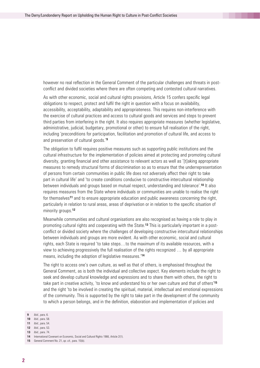however no real reflection in the General Comment of the particular challenges and threats in postconflict and divided societies where there are often competing and contested cultural narratives.

As with other economic, social and cultural rights provisions, Article 15 confers specific legal obligations to respect, protect and fulfil the right in question with a focus on availability, accessibility, acceptability, adaptability and appropriateness. This requires non-interference with the exercise of cultural practices and access to cultural goods and services and steps to prevent third parties from interfering in the right. It also requires appropriate measures (whether legislative, administrative, judicial, budgetary, promotional or other) to ensure full realisation of the right, including 'preconditions for participation, facilitation and promotion of cultural life, and access to and preservation of cultural goods.'**<sup>9</sup>**

The obligation to fulfil requires positive measures such as supporting public institutions and the cultural infrastructure for the implementation of policies aimed at protecting and promoting cultural diversity, granting financial and other assistance to relevant actors as well as '[t]aking appropriate measures to remedy structural forms of discrimination so as to ensure that the underrepresentation of persons from certain communities in public life does not adversely affect their right to take part in cultural life' and 'to create conditions conducive to constructive intercultural relationship between individuals and groups based on mutual respect, understanding and tolerance'.**<sup>10</sup>** It also requires measures from the State where individuals or communities are unable to realise the right for themselves**<sup>11</sup>** and to ensure appropriate education and public awareness concerning the right, particularly in relation to rural areas, areas of deprivation or in relation to the specific situation of minority groups.**<sup>12</sup>**

Meanwhile communities and cultural organisations are also recognised as having a role to play in promoting cultural rights and cooperating with the State.**13** This is particularly important in a postconflict or divided society where the challenges of developing constructive intercultural relationships between individuals and groups are more evident. As with other economic, social and cultural rights, each State is required 'to take steps…to the maximum of its available resources, with a view to achieving progressively the full realisation of the rights recognized … by all appropriate means, including the adoption of legislative measures.'**<sup>14</sup>**

The right to access one's own culture, as well as that of others, is emphasised throughout the General Comment, as is both the individual and collective aspect. Key elements include the right to seek and develop cultural knowledge and expressions and to share them with others, the right to take part in creative activity, 'to know and understand his or her own culture and that of others'**<sup>15</sup>** and the right 'to be involved in creating the spiritual, material, intellectual and emotional expressions of the community. This is supported by the right to take part in the development of the community to which a person belongs, and in the definition, elaboration and implementation of policies and

**15** General Comment No. 21, *op. cit*., para. 15(b).

**<sup>9</sup>** *Ibid*., para. 6.

**<sup>10</sup>** *Ibid*., para. 58.

**<sup>11</sup>** *Ibid*., para. 54. **12** *Ibid*., para. 53.

**<sup>13</sup>** *Ibid*., para. 74.

**<sup>14</sup>** International Covenant on Economic, Social and Cultural Rights 1966, Article 2(1).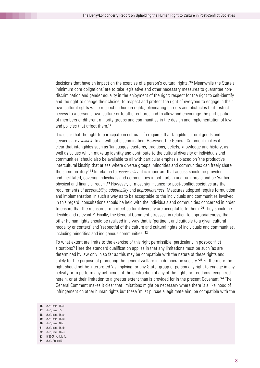decisions that have an impact on the exercise of a person's cultural rights.'**<sup>16</sup>** Meanwhile the State's 'minimum core obligations' are to take legislative and other necessary measures to guarantee nondiscrimination and gender equality in the enjoyment of the right; respect for the right to self-identify and the right to change their choice; to respect and protect the right of everyone to engage in their own cultural rights while respecting human rights; eliminating barriers and obstacles that restrict access to a person's own culture or to other cultures and to allow and encourage the participation of members of different minority groups and communities in the design and implementation of law and policies that affect them.**<sup>17</sup>**

It is clear that the right to participate in cultural life requires that tangible cultural goods and services are *available* to all without discrimination. However, the General Comment makes it clear that intangibles such as 'languages, customs, traditions, beliefs, knowledge and history, as well as values which make up identity and contribute to the cultural diversity of individuals and communities' should also be available to all with particular emphasis placed on 'the productive intercultural kinship that arises where diverse groups, minorities and communities can freely share the same territory'.**<sup>18</sup>** In relation to *accessibility*, it is important that access should be provided and facilitated, covering individuals and communities in both urban and rural areas and be 'within physical and financial reach'.**<sup>19</sup>** However, of most significance for post-conflict societies are the requirements of *acceptability, adaptability* and *appropriateness*. Measures adopted require formulation and implementation 'in such a way as to be acceptable to the individuals and communities involved. In this regard, consultations should be held with the individuals and communities concerned in order to ensure that the measures to protect cultural diversity are acceptable to them'.**<sup>20</sup>** They should be flexible and relevant.**<sup>21</sup>** Finally, the General Comment stresses, in relation to appropriateness, that other human rights should be realised in a way that is 'pertinent and suitable to a given cultural modality or context' and 'respectful of the culture and cultural rights of individuals and communities, including minorities and indigenous communities.'**<sup>22</sup>**

To what extent are limits to the exercise of this right permissible, particularly in post-conflict situations? Here the standard qualification applies in that any limitations must be such 'as are determined by law only in so far as this may be compatible with the nature of these rights and solely for the purpose of promoting the general welfare in a democratic society.'**<sup>23</sup>** Furthermore the right should not be interpreted 'as implying for any State, group or person any right to engage in any activity or to perform any act aimed at the destruction of any of the rights or freedoms recognized herein, or at their limitation to a greater extent than is provided for in the present Covenant.'**<sup>24</sup>** The General Comment makes it clear that limitations might be necessary where there is a likelihood of infringement on other human rights but these 'must pursue a legitimate aim, be compatible with the

 *Ibid*., para. 55. *Ibid*., para. 16(a). *Ibid*., para. 16(b). *Ibid*., para. 16(c). *Ibid*., para. 16(d).

**16** *Ibid*., para. 15(c).

- 
- **22** *Ibid*., para. 16(e).
- **23** ICESCR, Article 4..
- **24** *Ibid*., Article 5.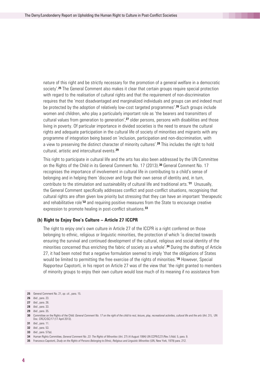nature of this right and be strictly necessary for the promotion of a general welfare in a democratic society'.**<sup>25</sup>** The General Comment also makes it clear that certain groups require special protection with regard to the realisation of cultural rights and that the requirement of non-discrimination requires that the 'most disadvantaged and marginalized individuals and groups can and indeed must be protected by the adoption of relatively low-cost targeted programmes'.**<sup>26</sup>** Such groups include women and children, who play a particularly important role as 'the bearers and transmitters of cultural values from generation to generation',**<sup>27</sup>** older persons, persons with disabilities and those living in poverty. Of particular importance in divided societies is the need to ensure the cultural rights and adequate participation in the cultural life of society of minorities and migrants with any programme of integration being based on 'inclusion, participation and non-discrimination, with a view to preserving the distinct character of minority cultures'.**<sup>28</sup>** This includes the right to hold cultural, artistic and intercultural events.**<sup>29</sup>**

This right to participate in cultural life and the arts has also been addressed by the UN Committee on the Rights of the Child in its General Comment No. 17 (2013).**<sup>30</sup>** General Comment No. 17 recognises the importance of involvement in cultural life in contributing to a child's sense of belonging and in helping them 'discover and forge their own sense of identity and, in turn, contribute to the stimulation and sustainability of cultural life and traditional arts.'**<sup>31</sup>** Unusually, the General Comment specifically addresses conflict and post-conflict situations, recognising that cultural rights are often given low priority but stressing that they can have an important 'therapeutic and rehabilitative role'**<sup>32</sup>** and requiring positive measures from the State to encourage creative expression to promote healing in post-conflict situations.**<sup>33</sup>**

#### **(b) Right to Enjoy One's Culture – Article 27 ICCPR**

The right to enjoy one's own culture in Article 27 of the ICCPR is a right conferred on those belonging to ethnic, religious or linguistic minorities, the protection of which 'is directed towards ensuring the survival and continued development of the cultural, religious and social identity of the minorities concerned thus enriching the fabric of society as a whole'.**<sup>34</sup>** During the drafting of Article 27, it had been noted that a negative formulation seemed to imply 'that the obligations of States would be limited to permitting the free exercise of the rights of minorities.'**<sup>35</sup>** However, Special Rapporteur Capotorti, in his report on Article 27 was of the view that 'the right granted to members of minority groups to enjoy their own culture would lose much of its meaning if no assistance from

**<sup>25</sup>** General Comment No. 21, *op. cit*., para. 15.

**<sup>26</sup>** *Ibid*., para. 23.

**<sup>27</sup>** *Ibid*., para. 26.

**<sup>28</sup>** *Ibid*., para. 33.

**<sup>29</sup>** *Ibid*., para. 35.

**<sup>30</sup>** Committee on the Rights of the Child: *General Comment No. 17 on the right of the child to rest, leisure, play, recreational activities, cultural life and the arts (Art. 31), UN* Doc. CRC/C/GC/17 (17 April 2013).

**<sup>31</sup>** *Ibid*., para. 11.

**<sup>32</sup>** *Ibid*., para. 53.

**<sup>33</sup>** *Ibid*., para. 57(e).

**<sup>34</sup>** Human Rights Committee, *General Comment No. 23: The Rights of Minorities* (Art. 27) (4 August 1994) UN CCPR/C/21/Rev.1/Add. 5, para. 9.

**<sup>35</sup>** Francesco Capotorti, *Study on the Rights of Persons Belonging to Ethnic, Religious and Linguistic Minorities* (UN, New York, 1979) para. 212.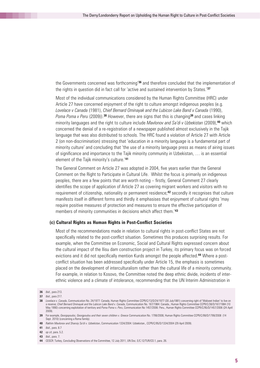the Governments concerned was forthcoming'**<sup>36</sup>** and therefore concluded that the implementation of the rights in question did in fact call for 'active and sustained intervention by States.'**<sup>37</sup>**

Most of the individual communications considered by the Human Rights Committee (HRC) under Article 27 have concerned enjoyment of the right to culture amongst indigenous peoples (e.g. *Lovelace v Canada* (1981), *Chief Bernard Ominayak and the Lubicon Lake Band v Canada* (1990), *Poma Poma v Peru* (2009)).**<sup>38</sup>** However, there are signs that this is changing**<sup>39</sup>** and cases linking minority languages and the right to culture include *Mavlonov and Sa'di v Uzbekistan* (2009),**<sup>40</sup>** which concerned the denial of a re-registration of a newspaper published almost exclusively in the Tajik language that was also distributed to schools. The HRC found a violation of Article 27 with Article 2 (on non-discrimination) stressing that 'education in a minority language is a fundamental part of minority culture' and concluding that 'the use of a minority language press as means of airing issues of significance and importance to the Tajik minority community in Uzbekistan, … is an essential element of the Tajik minority's culture.'**<sup>41</sup>**

The General Comment on Article 27 was adopted in 2004, five years earlier than the General Comment on the Right to Participate in Cultural Life. Whilst the focus is primarily on indigenous peoples, there are a few points that are worth noting – firstly, General Comment 27 clearly identifies the scope of application of Article 27 as covering migrant workers and visitors with no requirement of citizenship, nationality or permanent residence;**<sup>42</sup>** secondly it recognises that culture manifests itself in different forms and thirdly it emphasises that enjoyment of cultural rights 'may require positive measures of protection and measures to ensure the effective participation of members of minority communities in decisions which affect them.'**<sup>43</sup>**

#### **(c) Cultural Rights as Human Rights in Post-Conflict Societies**

Most of the recommendations made in relation to cultural rights in post-conflict States are not specifically related to the post-conflict situation. Sometimes this produces surprising results. For example, when the Committee on Economic, Social and Cultural Rights expressed concern about the cultural impact of the Ilisu dam construction project in Turkey, its primary focus was on forced evictions and it did not specifically mention Kurds amongst the people affected.**44** Where a postconflict situation has been addressed specifically under Article 15, the emphasis is sometimes placed on the development of interculturalism rather than the cultural life of a minority community. For example, in relation to Kosovo, the Committee noted the deep ethnic divide, incidents of interethnic violence and a climate of intolerance, recommending that the UN Interim Administration in

**43** *Ibid*., para. 7.

**<sup>36</sup>** *Ibid*., para 213.

**<sup>37</sup>** *Ibid*., para 217.

**<sup>38</sup>** *Lovelace v. Canada*, Communication No. 24/1977: Canada, Human Rights Committee CCPR/C/13/D/24/1977 (30 July1981) concerning right of 'Maliseet Indian' to live on a reserve; *Chief Bernard Ominayak and the Lubicon Lake Band v. Canada*, Communication No. 167/1984: Canada., Human Rights Committee CCPR/C/38/D/167/1984 (10 May 1990) concerning exploitation of territory and *Poma Poma* v. *Peru*, Communication No 1457/2006: Peru., Human Rights Committee CCPR/C/95/D/1457/2006 (24 April 2009).

**<sup>39</sup>** For example, *Georgopoulos, Georgpoulou and their seven children v. Greece* Communication No. 1799/2008, Human Rights Committee CCPR/C/99/D/1799/2008 (14 Sept. 2010) (concerning a Roma family).

**<sup>40</sup>** *Rakhim Mavlonov and Shansiy Sa'di v. Uzbekistan*, Communication 1334/2004: Uzbekistan., CCPR/C/95/D/1334/2004 (29 April 2009).

**<sup>41</sup>** *Ibid*., para. 8.7

**<sup>42</sup>** *op cit*, para. 5.2.

**<sup>44</sup>** CESCR: Turkey, Concluding Observations of the Committee, 12 July 2011, UN Doc. E/C.12/TUR/CO.1, para. 26.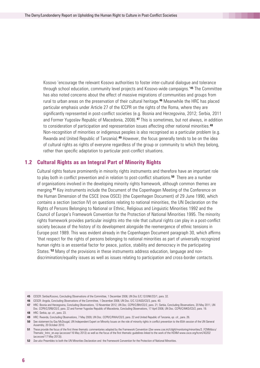Kosovo 'encourage the relevant Kosovo authorities to foster inter-cultural dialogue and tolerance through school education, community level projects and Kosovo-wide campaigns.'**<sup>45</sup>** The Committee has also noted concerns about the effect of massive migrations of communities and groups from rural to urban areas on the preservation of their cultural heritage.**<sup>46</sup>** Meanwhile the HRC has placed particular emphasis under Article 27 of the ICCPR on the rights of the Roma, where they are significantly represented in post-conflict societies (e.g. Bosnia and Herzegovina, 2012; Serbia, 2011 and Former Yugoslav Republic of Macedonia, 2008).**<sup>47</sup>** This is sometimes, but not always, in addition to consideration of participation and representation issues affecting other national minorities.**<sup>48</sup>** Non-recognition of minorities or indigenous peoples is also recognised as a particular problem (e.g. Rwanda and United Republic of Tanzania).**<sup>49</sup>** However, the focus generally tends to be on the idea of cultural rights as rights of everyone regardless of the group or community to which they belong, rather than specific adaptation to particular post-conflict situations.

#### **1.2 Cultural Rights as an Integral Part of Minority Rights**

Cultural rights feature prominently in minority rights instruments and therefore have an important role to play both in conflict prevention and in relation to post-conflict situations.**<sup>50</sup>** There are a number of organisations involved in the developing minority rights framework, although common themes are merging.**<sup>51</sup>** Key instruments include the Document of the Copenhagen Meeting of the Conference on the Human Dimension of the CSCE (now OSCE) (the Copenhagen Document) of 29 June 1990, which contains a section (section IV) on questions relating to national minorities, the UN Declaration on the Rights of Persons Belonging to National or Ethnic, Religious and Linguistic Minorities 1992 and the Council of Europe's Framework Convention for the Protection of National Minorities 1995. The minority rights framework provides particular insights into the role that cultural rights can play in a post-conflict society because of the history of its development alongside the reemergence of ethnic tensions in Europe post 1989. This was evident already in the Copenhagen Document paragraph 30, which affirms 'that respect for the rights of persons belonging to national minorities as part of universally recognized human rights is an essential factor for peace, justice, stability and democracy in the participating States.'**52** Many of the provisions in these instruments address education, language and nondiscrimination/equality issues as well as issues relating to participation and cross-border contacts.

**<sup>45</sup>** CESCR: Serbia/Kosovo, Concluding Observations of the Committee, 1 December 2008, UN Doc E/C.12/UNK/CO/1, para. 32.

**<sup>46</sup>** CESCR: Angola, Concluding Observations of the Committee, 1 December 2008, UN Doc. E/C.12/AGO/CO/3, para. 40.

**<sup>47</sup>** HRC: Bosnia and Herzegovina, Concluding Observations, 13 November 2012, UN Doc. CCPR/C/BIH/CO/2, para. 21; Serbia, Concluding Observations, 20 May 2011, UN Doc. CCPR/C/SRB/CO/2, para. 22 and Former Yugoslav Republic of Macedonia, Concluding Observations, 17 April 2008, UN Doc. CCPR/C/MKD/CO/2, para. 19.

**<sup>48</sup>** HRC: Serbia, *op. cit*., para. 23.

**<sup>49</sup>** HRC: Rwanda, Concluding Observations, 7 May 2009, UN Doc. CCPR/C/RWA/CO/3, para. 22 and United Republic of Tanzania, *op. cit*., para. 26.

<sup>50</sup> See statement by Gay McDougal, UN Independent Expert on Minority Issues on the role of minority rights in conflict prevention to the 65th session of the UN General Assembly, 20 October 2010.

**<sup>51</sup>** These provide the focus of the first three thematic commentaries adopted by the Framework Convention (*See* www.coe.int/t/dghl/monitoring/minorities/3\_FCNMdocs/ Thematic\_Intro\_en.asp (*accessed* 16 May 2013) as well as the focus of the first thematic guidelines linked to the work of the HCNM www.osce.org/hcnm/43202 (*accessed* 17 May 2013)).

**<sup>52</sup>** *See also* Preambles to both the UN Minorities Declaration and the Framework Convention for the Protection of National Minorities.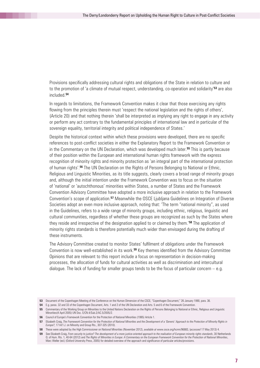Provisions specifically addressing cultural rights and obligations of the State in relation to culture and to the promotion of 'a climate of mutual respect, understanding, co-operation and solidarity'**<sup>53</sup>** are also included.**<sup>54</sup>**

In regards to limitations, the Framework Convention makes it clear that those exercising any rights flowing from the principles therein must 'respect the national legislation and the rights of others'. (Article 20) and that nothing therein 'shall be interpreted as implying any right to engage in any activity or perform any act contrary to the fundamental principles of international law and in particular of the sovereign equality, territorial integrity and political independence of States.'

Despite the historical context within which these provisions were developed, there are no specific references to post-conflict societies in either the Explanatory Report to the Framework Convention or in the Commentary on the UN Declaration, which was developed much later.**<sup>55</sup>** This is partly because of their position within the European and international human rights framework with the express recognition of minority rights and minority protection as 'an integral part of the international protection of human rights'.**<sup>56</sup>** The UN Declaration on the Rights of Persons Belonging to National or Ethnic, Religious and Linguistic Minorities, as its title suggests, clearly covers a broad range of minority groups and, although the initial intention under the Framework Convention was to focus on the situation of 'national' or 'autochthonous' minorities within States, a number of States and the Framework Convention Advisory Committee have adopted a more inclusive approach in relation to the Framework Convention's scope of application.**<sup>57</sup>** Meanwhile the OSCE Ljubljana Guidelines on Integration of Diverse Societies adopt an even more inclusive approach, noting that: 'The term "national minority", as used in the Guidelines, refers to a wide range of minority groups, including ethnic, religious, linguistic and cultural communities, regardless of whether these groups are recognized as such by the States where they reside and irrespective of the designation applied to or claimed by them.'**<sup>58</sup>** The application of minority rights standards is therefore potentially much wider than envisaged during the drafting of these instruments.

The Advisory Committee created to monitor States' fulfilment of obligations under the Framework Convention is now well-established in its work.**<sup>59</sup>** Key themes identified from the Advisory Committee Opinions that are relevant to this report include a focus on representation in decision-making processes, the allocation of funds for cultural activities as well as discrimination and intercultural dialogue. The lack of funding for smaller groups tends to be the focus of particular concern – e.g.

**56** Council of Europe's Framework Convention for the Protection of National Minorities (1995) Article 1.

<sup>53</sup> Document of the Copenhagen Meeting of the Conference on the Human Dimension of the CSCE, "Copenhagen Document," 26 January 1990, para. 36.

**<sup>54</sup>** E.g. paras. 32 and 33 of the Copenhagen Document, Arts. 1 and 2 of the UN Declaration and Arts. 5 and 6 of the Framework Convention.

<sup>55</sup> Commentary of the Working Group on Minorities to the United Nations Declaration on the Rights of Persons Belonging to National or Ethnic, Religious and Linquistic Minorities(4 April 2005) UN Doc. E/CN.4/Sub.2/AC.5/2005/2.

**<sup>57</sup>** Elizabeth Craig, *The Framework Convention for the Protection of National Minorities and the Development of a 'Generic' Approach to the Protection of Minority Rights in Europe?*, 17 Int'l J. on Minority and Group Rts., 307-325 (2010).

**<sup>58</sup>** These were adopted by the High Commissioner on National Minorities (November 2012), *available at* www.osce.org/hcnm/96883, (*accessed* 17 May 2013) 4.

**<sup>59</sup>** See Elizabeth Craig, *From security to justice? The development of a more justice-oriented approach to the realisation of European minority rights standards, 30 Netherlands* Q. of Hum. Rts. 1, 40-64 (2012) and *The Rights of Minorities in Europe: A Commentary on the European Framework Convention for the Protection of National Minorities*, Marc Weller (ed.) (Oxford University Press, 2005) for detailed overview of the approach and significance of particular articles/provisions.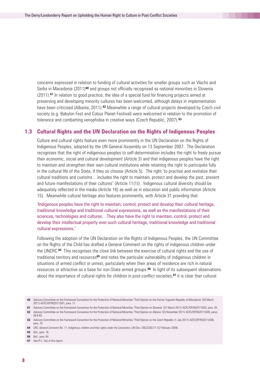concerns expressed in relation to funding of cultural activities for smaller groups such as Vlachs and Serbs in Macedonia (2011)**<sup>60</sup>** and groups not officially recognised as national minorities in Slovenia (2011).**<sup>61</sup>** In relation to good practice, the idea of a special fund for financing projects aimed at preserving and developing minority cultures has been welcomed, although delays in implementation have been criticised (Albania, 2011).**<sup>62</sup>** Meanwhile a range of cultural projects developed by Czech civil society (e.g. Babylon Fest and Colour Planet Festival) were welcomed in relation to the promotion of tolerance and combatting xenophobia in creative ways (Czech Republic, 2007).**<sup>63</sup>**

#### **1.3 Cultural Rights and the UN Declaration on the Rights of Indigenous Peoples**

Culture and cultural rights feature even more prominently in the UN Declaration on the Rights of Indigenous Peoples, adopted by the UN General Assembly on 13 September 2007. The Declaration recognises that the right of indigenous peoples to self-determination includes the right to freely pursue their economic, social and cultural development (Article 3) and that indigenous peoples have the right to maintain and strengthen their own cultural institutions while retaining the right to participate fully in the cultural life of the State, if they so choose (Article 5). The right 'to practise and revitalize their cultural traditions and customs…includes the right to maintain, protect and develop the past, present and future manifestations of their cultures' (Article 11(1)). Indigenous cultural diversity should be adequately reflected in the media (Article 16) as well as in education and public information (Article 15). Meanwhile cultural heritage also features prominently, with Article 31 providing that:

'Indigenous peoples have the right to maintain, control, protect and develop their cultural heritage, traditional knowledge and traditional cultural expressions, as well as the manifestations of their sciences, technologies and cultures…They also have the right to maintain, control, protect and develop their intellectual property over such cultural heritage, traditional knowledge and traditional cultural expressions.'

Following the adoption of the UN Declaration on the Rights of Indigenous Peoples, the UN Committee on the Rights of the Child has drafted a General Comment on the rights of indigenous children under the UNCRC.**<sup>64</sup>** This recognises the close link between the exercise of cultural rights and the use of traditional territory and resources**<sup>65</sup>** and notes the particular vulnerability of indigenous children in situations of armed conflict or unrest, particularly when their areas of residence are rich in natural resources or attractive as a base for non-State armed groups.**<sup>66</sup>** In light of its subsequent observations about the importance of cultural rights for children in post-conflict societies,**<sup>67</sup>** it is clear that cultural

**65** *Ibid*., para. 16.

**67** See Pt I, 1(a) of this report.

**<sup>60</sup>** Advisory Committee on the Framework Convention for the Protection of National Minorities 'Third Opinion on the Former Yugoslav Republic of Macedonia' (30 March 2011) ACFC/OP/III(2011)001, para. 17.

**<sup>61</sup>** Advisory Committee on the Framework Convention for the Protection of National Minorities 'Third Opinion on Slovenia' (31 March 2011) ACFC/OP/III(2011)003, para. 20. **62** Advisory Committee on the Framework Convention for the Protection of National Minorities 'Third Opinion on Albania' (23 November 2011) ACFC/OP/III(2011)009, paras.

<sup>26 &</sup>amp; 83. **63** Advisory Committee on the Framework Convention for the Protection of National Minorities 'Third Opinion on the Czech Republic (1 July 2011) ACFC/OP/III(2011)008, para. 70

**<sup>64</sup>** CRC: *General Comment No. 11 Indigenous children and their rights under the Convention*, UN Doc. CRC/C/GC/11 (12 February 2009).

**<sup>66</sup>** *Ibid*., para. 64.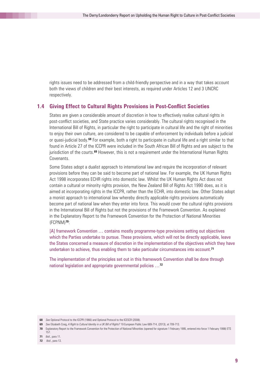rights issues need to be addressed from a child-friendly perspective and in a way that takes account both the views of children and their best interests, as required under Articles 12 and 3 UNCRC respectively.

#### **1.4 Giving Effect to Cultural Rights Provisions in Post-Conflict Societies**

States are given a considerable amount of discretion in how to effectively realise cultural rights in post-conflict societies, and State practice varies considerably. The cultural rights recognised in the International Bill of Rights, in particular the right to participate in cultural life and the right of minorities to enjoy their own culture, are considered to be capable of enforcement by individuals before a judicial or quasi-judicial body.**<sup>68</sup>** For example, both a right to participate in cultural life and a right similar to that found in Article 27 of the ICCPR were included in the South African Bill of Rights and are subject to the jurisdiction of the courts.**<sup>69</sup>** However, this is not a requirement under the International Human Rights Covenants.

Some States adopt a dualist approach to international law and require the incorporation of relevant provisions before they can be said to become part of national law. For example, the UK Human Rights Act 1998 incorporates ECHR rights into domestic law. Whilst the UK Human Rights Act does not contain a cultural or minority rights provision, the New Zealand Bill of Rights Act 1990 does, as it is aimed at incorporating rights in the ICCPR, rather than the ECHR, into domestic law. Other States adopt a monist approach to international law whereby directly applicable rights provisions automatically become part of national law when they enter into force. This would cover the cultural rights provisions in the International Bill of Rights but not the provisions of the Framework Convention. As explained in the Explanatory Report to the Framework Convention for the Protection of National Minorities (FCPNM)**<sup>70</sup>**:

[A] framework Convention … contains mostly programme-type provisions setting out objectives which the Parties undertake to pursue. These provisions, which will not be directly applicable, leave the States concerned a measure of discretion in the implementation of the objectives which they have undertaken to achieve, thus enabling them to take particular circumstances into account.**<sup>71</sup>**

The implementation of the principles set out in this framework Convention shall be done through national legislation and appropriate governmental policies …**<sup>72</sup>**

**<sup>68</sup>** *See* Optional Protocol to the ICCPR (1966) and Optional Protocol to the ICESCR (2008).

**<sup>69</sup>** *See* Elizabeth Craig, *A Right to Cultural Identity in a UK Bill of Rights?* 19 European Public Law 689-714, (2013), at 709-713.

**<sup>70</sup>** Explanatory Report to the Framework Convention for the Protection of National Minorities (opened for signature 1 February 1995, entered into force 1 February 1998) ETS 157.

**<sup>71</sup>** *Ibid*., para 11.

**<sup>72</sup>** *Ibid*., para 13.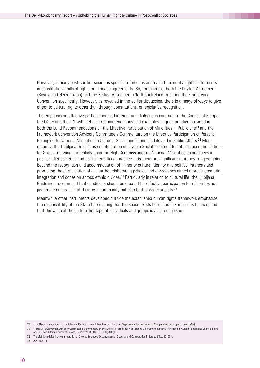However, in many post-conflict societies specific references are made to minority rights instruments in constitutional bills of rights or in peace agreements. So, for example, both the Dayton Agreement (Bosnia and Herzegovina) and the Belfast Agreement (Northern Ireland) mention the Framework Convention specifically. However, as revealed in the earlier discussion, there is a range of ways to give effect to cultural rights other than through constitutional or legislative recognition.

The emphasis on effective participation and intercultural dialogue is common to the Council of Europe, the OSCE and the UN with detailed recommendations and examples of good practice provided in both the Lund Recommendations on the Effective Participation of Minorities in Public Life**<sup>73</sup>** and the Framework Convention Advisory Committee's Commentary on the Effective Participation of Persons Belonging to National Minorities in Cultural, Social and Economic Life and in Public Affairs.**<sup>74</sup>** More recently, the Ljubljana Guidelines on Integration of Diverse Societies aimed to set out recommendations for States, drawing particularly upon the High Commissioner on National Minorities' experiences in post-conflict societies and best international practice. It is therefore significant that they suggest going beyond the recognition and accommodation of 'minority culture, identity and political interests and promoting the participation of all', further elaborating policies and approaches aimed more at promoting integration and cohesion across ethnic divides.**<sup>75</sup>** Particularly in relation to cultural life, the Ljubljana Guidelines recommend that conditions should be created for effective participation for minorities not just in the cultural life of their own community but also that of wider society.**<sup>76</sup>**

Meanwhile other instruments developed outside the established human rights framework emphasise the responsibility of the State for ensuring that the space exists for cultural expressions to arise, and that the value of the cultural heritage of individuals and groups is also recognised.

**<sup>73</sup>** Lund Recommendations on the Effective Participation of Minorities in Public Life, Organization for Security and Co-operation in Europe (1 Sept.1999).

<sup>74</sup> Framework Convention Advisory Committee's Commentary on the Effective Participation of Persons Belonging to National Minorities in Cultural, Social and Economic Life and in Public Affairs, Council of Europe, (5 May 2008) ACFC/31DOC(2008)001.

**<sup>75</sup>** The Ljubljana Guidelines on Integration of Diverse Societies, Organization for Security and Co-operation in Europe (Nov. 2012) 4.

**<sup>76</sup>** *Ibid*., rec. 41.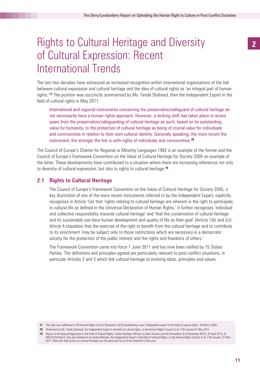### Rights to Cultural Heritage and Diversity **<sup>2</sup>** of Cultural Expression: Recent International Trends

The last two decades have witnessed an increased recognition within international organisations of the link between cultural expression and cultural heritage and the idea of cultural rights as 'an integral part of human rights.'**<sup>77</sup>** The position was succinctly summarised by Ms. Farida Shaheed, then the Independent Expert in the field of cultural rights in May 2011:

International and regional instruments concerning the preservation/safeguard of cultural heritage do not necessarily have a human rights approach. However, a striking shift has taken place in recent years from the preservation/safeguarding of cultural heritage as such, based on its outstanding value for humanity, to the protection of cultural heritage as being of crucial value for individuals and communities in relation to their own cultural identity. Generally speaking, the more recent the instrument, the stronger the link is with rights of individuals and communities.**<sup>78</sup>**

The Council of Europe's Charter for Regional or Minority Languages 1992 is an example of the former and the Council of Europe's Framework Convention on the Value of Cultural Heritage for Society 2005 an example of the latter. These developments have contributed to a situation where there are increasing references not only to diversity of cultural expression, but also to rights to cultural heritage.**<sup>79</sup>**

#### **2.1 Rights to Cultural Heritage**

The Council of Europe's Framework Convention on the Value of Cultural Heritage for Society 2005, a key illustration of one of the more recent instruments referred to by the Independent Expert, explicitly recognises in Article 1(a) that 'rights relating to cultural heritage are inherent in the right to participate in cultural life as defined in the Universal Declaration of Human Rights.' It further recognises 'individual and collective responsibility towards cultural heritage' and 'that the conservation of cultural heritage and its sustainable use have human development and quality of life as their goal' (Article 1(b) and (c)). Article 4 stipulates that the exercise of the right to benefit from the cultural heritage and to contribute to its enrichment 'may be subject only to those restrictions which are necessary in a democratic society for the protection of the public interest and the rights and freedoms of others.'

The Framework Convention came into force 1 June 2011 and has now been ratified by 15 States Parties. The definitions and principles agreed are particularly relevant to post-conflict situations, in particular Articles 2 and 3 which link cultural heritage to evolving ideas, principles and values.

**<sup>77</sup>** This idea was reaffirmed in UN Human Rights Council Resolution 10/23 establishing a new 'Independent expert in the field of cultural rights', 26 March 2009.

**<sup>78</sup>** Statement by Ms. Farida Shaheed, the Independent Expert in the field of cultural rights, to the Human Rights Council at its 17th session 31 May 2011.

**<sup>79</sup>** Report of the Special Rapporteur in the Field of Cultural Rights, Farida Shaheed, Mission to Saint Vincent and the Grenadines (5-9 November 2012), 22 April 2013, A/ HRC/23/34/Add.2. *See also* Statement by Farida Shaheed, the Independent Expert in the field of Cultural Rights, to the Human Rights Council at its 17th session, 31 May 2011. Note also that access to cultural heritage was the particular focus of her attention in that year.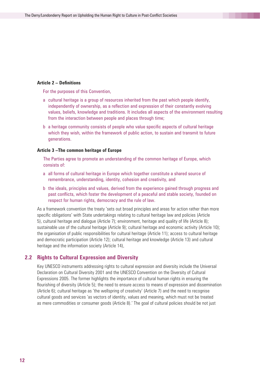#### **Article 2 – Definitions**

For the purposes of this Convention,

- a cultural heritage is a group of resources inherited from the past which people identify, independently of ownership, as a reflection and expression of their constantly evolving values, beliefs, knowledge and traditions. It includes all aspects of the environment resulting from the interaction between people and places through time;
- b a heritage community consists of people who value specific aspects of cultural heritage which they wish, within the framework of public action, to sustain and transmit to future generations.

#### **Article 3 –The common heritage of Europe**

The Parties agree to promote an understanding of the common heritage of Europe, which consists of:

- a all forms of cultural heritage in Europe which together constitute a shared source of remembrance, understanding, identity, cohesion and creativity, and
- b the ideals, principles and values, derived from the experience gained through progress and past conflicts, which foster the development of a peaceful and stable society, founded on respect for human rights, democracy and the rule of law.

As a framework convention the treaty 'sets out broad principles and areas for action rather than more specific obligations' with State undertakings relating to cultural heritage law and policies (Article 5), cultural heritage and dialogue (Article 7); environment, heritage and quality of life (Article 8); sustainable use of the cultural heritage (Article 9); cultural heritage and economic activity (Article 10); the organisation of public responsibilities for cultural heritage (Article 11); access to cultural heritage and democratic participation (Article 12); cultural heritage and knowledge (Article 13) and cultural heritage and the information society (Article 14),

#### **2.2 Rights to Cultural Expression and Diversity**

Key UNESCO instruments addressing rights to cultural expression and diversity include the Universal Declaration on Cultural Diversity 2001 and the UNESCO Convention on the Diversity of Cultural Expressions 2005. The former highlights the importance of cultural human rights in ensuring the flourishing of diversity (Article 5); the need to ensure access to means of expression and dissemination (Article 6); cultural heritage as 'the wellspring of creativity' (Article 7) and the need to recognise cultural goods and services 'as vectors of identity, values and meaning, which must not be treated as mere commodities or consumer goods (Article 8).' The goal of cultural policies should be not just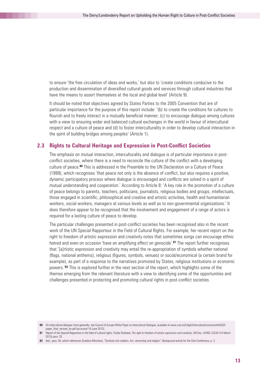to ensure 'the free circulation of ideas and works,' but also to 'create conditions conducive to the production and dissemination of diversified cultural goods and services through cultural industries that have the means to assert themselves at the local and global level' (Article 9).

It should be noted that objectives agreed by States Parties to the 2005 Convention that are of particular importance for the purpose of this report include: '(b) to create the conditions for cultures to flourish and to freely interact in a mutually beneficial manner; (c) to encourage dialogue among cultures with a view to ensuring wider and balanced cultural exchanges in the world in favour of intercultural respect and a culture of peace and (d) to foster interculturality in order to develop cultural interaction in the spirit of building bridges among peoples' (Article 1).

#### **2.3 Rights to Cultural Heritage and Expression in Post-Conflict Societies**

The emphasis on mutual interaction, interculturality and dialogue is of particular importance in postconflict societies, where there is a need to reconcile the culture of the conflict with a developing culture of peace.**<sup>80</sup>** This is addressed in the Preamble to the UN Declaration on a Culture of Peace (1999), which recognises 'that peace not only is the absence of conflict, but also requires a positive, dynamic participatory process where dialogue is encouraged and conflicts are solved in a spirit of mutual understanding and cooperation.' According to Article 8: 'A key role in the promotion of a culture of peace belongs to parents, teachers, politicians, journalists, religious bodies and groups, intellectuals, those engaged in scientific, philosophical and creative and artistic activities, health and humanitarian workers, social workers, managers at various levels as well as to non-governmental organizations.' It does therefore appear to be recognised that the involvement and engagement of a range of actors is required for a lasting culture of peace to develop.

The particular challenges presented in post-conflict societies has been recognised also in the recent work of the UN Special Rapporteur in the Field of Cultural Rights. For example, her recent report on the right to freedom of artistic expression and creativity notes that sometimes songs can encourage ethnic hatred and even on occasion 'have an amplifying effect on genocide'.**<sup>81</sup>** The report further recognises that '[a]rtistic expression and creativity may entail the re-appropriation of symbols whether national (flags, national anthems), religious (figures, symbols, venues) or social/economical (a certain brand for example), as part of a response to the narratives promoted by States, religious institutions or economic powers.'**<sup>82</sup>** This is explored further in the next section of the report, which highlights some of the themes emerging from the relevant literature with a view to identifying some of the opportunities and challenges presented in protecting and promoting cultural rights in post-conflict societies.

**<sup>80</sup>** On intercultural dialogue more generally, see Council of Europe White Paper on Intercultural Dialogue, *available* at www.coe.int/t/dg4/intercultural/source/white%20 paper\_final\_revised\_en.pdf (*accessed* 19 June 2013).

**<sup>81</sup>** Report of the Special Rapporteur in the field of cultural rights, Farida Shaheed, *The right to freedom of artistic expression and creativity*, UN Doc. A/HRC./23/34 (14 March 2013) para. 33.

**<sup>82</sup>** *Ibid*., para. 36, which references Svetlana Mincheva, "Symbols into soldiers: Art, censorship and religion", Background article for the Oslo Conference, p. 2.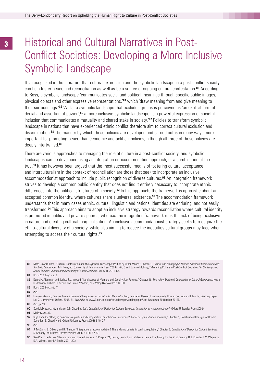### **<sup>3</sup>** Historical and Cultural Narratives in Post-Conflict Societies: Developing a More Inclusive Symbolic Landscape

It is recognised in the literature that cultural expression and the symbolic landscape in a post-conflict society can help foster peace and reconciliation as well as be a source of ongoing cultural contestation.**<sup>83</sup>** According to Ross, a symbolic landscape 'communicates social and political meanings through specific public images, physical objects and other expressive representations,'**<sup>84</sup>** which 'draw meaning from and give meaning to their surroundings.'**<sup>85</sup>** Whilst a symbolic landscape that excludes groups is perceived as 'an explicit form of denial and assertion of power',**<sup>86</sup>** a more inclusive symbolic landscape 'is a powerful expression of societal inclusion that communicates a mutuality and shared stake in society.'**<sup>87</sup>** Policies to transform symbolic landscape in nations that have experienced ethnic conflict therefore aim to correct cultural exclusion and discrimination.**<sup>88</sup>** The manner by which these policies are developed and carried out is in many ways more important for promoting peace than economic and political policies, although all three of these policies are deeply intertwined.**<sup>89</sup>**

There are various approaches to managing the role of culture in a post-conflict society, and symbolic landscapes can be developed using an integration or accommodation approach, or a combination of the two.**<sup>90</sup>** It has however been argued that the most successful means of fostering cultural acceptance and interculturalism in the context of reconciliation are those that seek to incorporate an inclusive accommodationist approach to include public recognition of diverse cultures.**<sup>91</sup>** An integration framework strives to develop a common public identity that does not find it entirely necessary to incorporate ethnic differences into the political structures of a society.**<sup>92</sup>** In this approach, the framework is optimistic about an accepted common identity, where cultures share a universal existence.**<sup>93</sup>** The accommodation framework understands that in many cases ethnic, cultural, linguistic and national identities are enduring, and not easily transformed.**<sup>94</sup>** This approach aims to adopt an inclusive strategy towards reconciliation where cultural identity is promoted in public and private spheres, whereas the integration framework runs the risk of being exclusive in nature and creating cultural marginalisation. An inclusive accommodationist strategy seeks to recognize the ethno-cultural diversity of a society, while also aiming to reduce the inequities cultural groups may face when attempting to access their cultural rights.**<sup>95</sup>**

**93** *Ibid*.

<sup>83</sup> Marc Howard Ross, "Cultural Contestation and the Symbolic Landscape: Politics by Other Means," Chapter 1, *Culture and Belonging in Divided Societies: Contestation and Symbolic Landscapes*, MH Ross, ed. (University of Pennsylvania Press 2009) 1-24, 6 and Joanne McEvoy, "Managing Culture in Post-Conflict Societies," in *Contemporary Social Science: Journal of the Academy of Social Sciences*, Vol. 6(1), 2011, 55.

**<sup>84</sup>** Ross (2009) *op. cit*. 6.

**<sup>85</sup>** Derek H. Alderman and Joshua F.J. Inwood, "Landscapes of Memory and Socially Just Futures," Chapter 18, *The Wiley-Blackwell Companion to Cultural Geography*, Nuala C. Johnson, Richard H. Schein and Jamie Winders, eds.(Wiley-Blackwell 2013) 188.

**<sup>86</sup>** Ross (2009) *op. cit*., 7.

**<sup>87</sup>** *Ibid*.

**<sup>88</sup>** Frances Stewart, *Policies Toward Horizontal Inequalities in Post-Conflict Reconstruction*, Centre for Research on Inequality, Human Security and Ethnicity, Working Paper No. 7, University of Oxford, 2005, 21. (*available at* www3.qeh.ox.ac.uk/pdf/crisewps/workingpaper7.pdf (*accessed* 29 October 2013).

**<sup>89</sup>** *Ibid*., p. 21..

**<sup>90</sup>** See McEvoy, *op. cit*. and also Sujit Choudhry (ed), *Constitutional Design for Divided Societies: Integration or Accommodation?* (Oxford University Press 2008).

**<sup>91</sup>** McEvoy, *op. cit*.

**<sup>92</sup>** Sujit Choudry, "Bridging comparative politics and comparative constitutional law: *Constitutional design in divided societies*," Chapter 1, Constitutional Design for Divided Societies, S. Choudry, ed.(Oxford University Press 2008) 3-40, 27.

**<sup>94</sup>** J. McGarry, B. O'Leary and R. Simeon, "Integration or accommodation? The enduring debate in conflict regulation," Chapter 2, *Constitutional Design for Divided Societies*, S. Choudry, ed.(Oxford University Press 2008) 41-88, 52-53.

<sup>95</sup> See Cheryl de la Rey, "Reconciliation in Divided Societies," Chapter 21, Peace, Conflict, and Violence: Peace Psychology for the 21st Century, D.J. Christie, R.V. Wagner & D.A. Winter, eds.(I A Books 2001) 20.)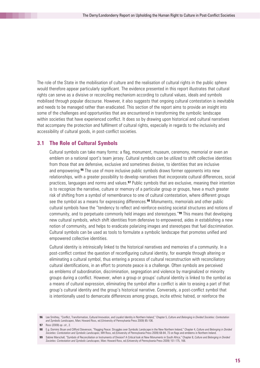The role of the State in the mobilisation of culture and the realisation of cultural rights in the public sphere would therefore appear particularly significant. The evidence presented in this report illustrates that cultural rights can serve as a divisive or reconciling mechanism according to cultural values, ideals and symbols mobilised through popular discourse. However, it also suggests that ongoing cultural contestation is inevitable and needs to be managed rather than eradicated. This section of the report aims to provide an insight into some of the challenges and opportunities that are encountered in transforming the symbolic landscape within societies that have experienced conflict. It does so by drawing upon historical and cultural narratives that accompany the protection and fulfilment of cultural rights, especially in regards to the inclusivity and accessibility of cultural goods, in post-conflict societies.

#### **3.1 The Role of Cultural Symbols**

Cultural symbols can take many forms: a flag, monument, museum, ceremony, memorial or even an emblem on a national sport's team jersey. Cultural symbols can be utilized to shift collective identities from those that are defensive, exclusive and sometimes divisive, to identities that are inclusive and empowering.**<sup>96</sup>** The use of more inclusive public symbols draws former opponents into new relationships, with a greater possibility to develop narratives that incorporate cultural differences, social practices, languages and norms and values.**<sup>97</sup>** Public symbols that are exclusive, meaning their intention is to recognize the narrative, culture or memory of a particular group or groups, have a much greater risk of shifting from a symbol of remembrance to one of cultural contestation, where different groups see the symbol as a means for expressing differences.**<sup>98</sup>** Monuments, memorials and other public cultural symbols have the "tendency to reflect and reinforce existing societal structures and notions of community, and to perpetuate commonly held images and stereotypes."**<sup>99</sup>** This means that developing new cultural symbols, which shift identities from defensive to empowered, aides in establishing a new notion of community, and helps to eradicate polarizing images and stereotypes that fuel discrimination. Cultural symbols can be used as tools to formulate a symbolic landscape that promotes unified and empowered collective identities.

Cultural identity is intrinsically linked to the historical narratives and memories of a community. In a post-conflict context the question of reconfiguring cultural identity, for example through altering or eliminating a cultural symbol, thus entering a process of cultural reconstruction with reconciliatory cultural identifications, in an effort to promote peace is a challenge. Often symbols are perceived as emblems of subordination, discrimination, segregation and violence by marginalized or minority groups during a conflict. However, when a group or groups' cultural identity is linked to the symbol as a means of cultural expression, eliminating the symbol after a conflict is akin to erasing a part of that group's cultural identity and the group's historical narrative. Conversely, a post-conflict symbol that is intentionally used to demarcate differences among groups, incite ethnic hatred, or reinforce the

**<sup>96</sup>** Lee Smithey, "Conflict, Transformation, Cultural Innovation, and Loyalist Identity in Northern Ireland," Chapter 5, *Culture and Belonging in Divided Societies: Contestation and Symbolic Landscapes*, Marc Howard Ross, ed.(University of Pennsylvania Press 2009) 85-106.

**<sup>97</sup>** Ross (2009) *op. cit*., 2.

**<sup>98</sup>** E.g. Dominic Bryan and Clifford Stevenson, "Flagging Peace: Struggles over Symbolic Landscape in the New Northern Ireland," Chapter 4, *Culture and Belonging in Divided Societies: Contestation and Symbolic Landscapes*, MH Ross, ed.(University of Pennsylvania Press 2009) 68-84, 73 on flags and emblems in Northern Ireland. Sabine Marschall, "Symbols of Reconciliation or Instruments of Division? A Critical look at New Monuments in South Africa," Chapter 8, *Culture and Belonging in Divided* 

*Societies: Contestation and Symbolic Landscapes*, Marc Howard Ross, ed.(University of Pennsylvania Press 2009) 151-175, 166.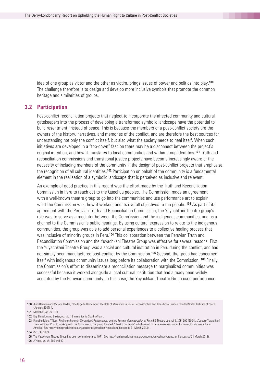idea of one group as victor and the other as victim, brings issues of power and politics into play.**<sup>100</sup>** The challenge therefore is to design and develop more inclusive symbols that promote the common heritage and similarities of groups.

#### **3.2 Participation**

Post-conflict reconciliation projects that neglect to incorporate the affected community and cultural gatekeepers into the process of developing a transformed symbolic landscape have the potential to build resentment, instead of peace. This is because the members of a post-conflict society are the owners of the history, narratives, and memories of the conflict, and are therefore the best sources for understanding not only the conflict itself, but also what the society needs to heal itself. When such initiatives are developed in a "top-down" fashion there may be a disconnect between the project's original intention, and how it translates to local communities and within group identities.**<sup>101</sup>** Truth and reconciliation commissions and transitional justice projects have become increasingly aware of the necessity of including members of the community in the design of post-conflict projects that emphasize the recognition of all cultural identities.**<sup>102</sup>** Participation on behalf of the community is a fundamental element in the realisation of a symbolic landscape that is perceived as inclusive and relevant.

An example of good practice in this regard was the effort made by the Truth and Reconciliation Commission in Peru to reach out to the Quechua peoples. The Commission made an agreement with a well-known theatre group to go into the communities and use performance art to explain what the Commission was, how it worked, and its overall objectives to the people. **<sup>103</sup>** As part of its agreement with the Peruvian Truth and Reconciliation Commission, the Yuyachkani Theatre group's role was to serve as a mediator between the Commission and the indigenous communities, and as a channel to the Commission's public hearings. By using cultural expression to relate to the indigenous communities, the group was able to add personal experiences to a collective healing process that was inclusive of minority groups in Peru.**<sup>104</sup>** This collaboration between the Peruvian Truth and Reconciliation Commission and the Yuyachkani Theatre Group was effective for several reasons. First, the Yuyachkani Theatre Group was a social and cultural institution in Peru during the conflict, and had not simply been manufactured post-conflict by the Commission.**<sup>105</sup>** Second, the group had concerned itself with indigenous community issues long before its collaboration with the Commission. **<sup>106</sup>** Finally, the Commission's effort to disseminate a reconciliation message to marginalized communities was successful because it worked alongside a local cultural institution that had already been widely accepted by the Peruvian community. In this case, the Yuyachkani Theatre Group used performance

**102** E.g. Barsalou and Baxter, *op. cit*., 13 in relation to South Africa. .

**106** A'Ness, *op. cit*. 399 and 401.

**<sup>100</sup>** Judy Barsalou and Victoria Baxter, "The Urge to Remember: The Role of Memorials in Social Reconstruction and Transitional Justice," United States Institute of Peace (January 2007) 4.

**<sup>101</sup>** Marschall, *op. cit*., 166.

**<sup>103</sup>** Francine Mary A'Ness, *Resisting Amnesia: Yuyachkani, Performance, and the Postwar Reconstruction of Peru*, 56 Theatre Journal 3, 395, 399 (2004),. *See also* Yuyachkani Theatre Group: Prior to working with the Commission, the group founded, " Teatro por lavida" which aimed to raise awareness about human rights abuses in Latin America, *See* http://hemisphericinstitute.org/cuaderno/yuyachkani/index.html (accessed 31 March 2013).

**<sup>104</sup>** *Ibid*., 397-399.

**<sup>105</sup>** The Yuyachkani Theatre Group has been performing since 1971. *See* http://hemisphericinstitute.org/cuaderno/yuyachkani/group.html (*accessed* 31 March 2013).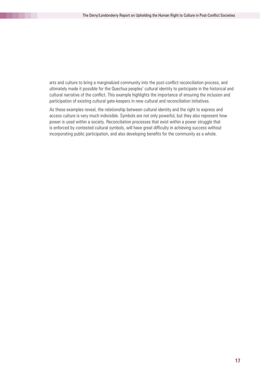arts and culture to bring a marginalized community into the post-conflict reconciliation process, and ultimately made it possible for the Quechua peoples' cultural identity to participate in the historical and cultural narrative of the conflict. This example highlights the importance of ensuring the inclusion and participation of existing cultural gate-keepers in new cultural and reconciliation initiatives.

As these examples reveal, the relationship between cultural identity and the right to express and access culture is very much indivisible. Symbols are not only powerful, but they also represent how power is used within a society. Reconciliation processes that exist within a power struggle that is enforced by contested cultural symbols, will have great difficulty in achieving success without incorporating public participation, and also developing benefits for the community as a whole.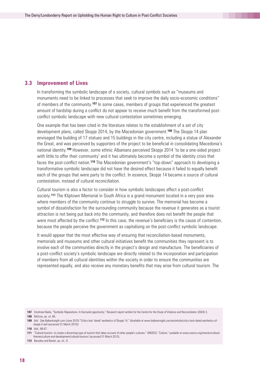#### **3.3 Improvement of Lives**

In transforming the symbolic landscape of a society, cultural symbols such as "museums and monuments need to be linked to processes that seek to improve the daily socio-economic conditions" of members of the community.**<sup>107</sup>** In some cases, members of groups that experienced the greatest amount of hardship during a conflict do not appear to receive much benefit from the transformed postconflict symbolic landscape with new cultural contestation sometimes emerging.

One example that has been cited in the literature relates to the establishment of a set of city development plans, called Skopje 2014, by the Macedonian government.**<sup>108</sup>** The Skopje 14 plan envisaged the building of 17 statues and 15 buildings in the city centre, including a statue of Alexander the Great, and was perceived by supporters of the project to be beneficial in consolidating Macedonia's national identity.**<sup>109</sup>** However, some ethnic Albanians perceived Skopje 2014 'to be a one-sided project with little to offer their community' and it has ultimately become a symbol of the identity crisis that faces the post-conflict nation.**<sup>110</sup>** The Macedonian government's "top-down" approach to developing a transformative symbolic landscape did not have the desired effect because it failed to equally benefit each of the groups that were party to the conflict. In essence, Skopje 14 became a source of cultural contestation, instead of cultural reconciliation.

Cultural tourism is also a factor to consider in how symbolic landscapes affect a post-conflict society.**<sup>111</sup>** The Kliptown Memorial in South Africa is a grand monument located in a very poor area where members of the community continue to struggle to survive. The memorial has become a symbol of dissatisfaction for the surrounding community because the revenue it generates as a tourist attraction is not being put back into the community, and therefore does not benefit the people that were most affected by the conflict.**<sup>112</sup>** In this case, the revenue's beneficiary is the cause of contention, because the people perceive the government as capitalising on the post-conflict symbolic landscape.

It would appear that the most effective way of ensuring that reconciliation-based monuments, memorials and museums and other cultural initiatives benefit the communities they represent is to involve each of the communities directly in the project's design and manufacture. The beneficiaries of a post-conflict society's symbolic landscape are directly related to the incorporation and participation of members from all cultural identities within the society in order to ensure the communities are represented equally, and also receive any monetary benefits that may arise from cultural tourism. The

**108** McEvoy, *op. cit*. 66.

**110** *Ibid*., 66-67.

**111** "Cultural tourism: to create a discerning type of tourism that takes account of other people's cultures," UNESCO, "Culture," *available at* www.unesco.org/new/en/culture/ themes/culture-and-development/cultural-tourism/ (accessed 31 March 2013).

**<sup>107</sup>** Ereshnee Naidu, "Symbolic Reparations: A fractured opportunity," Research report written for the Centre for the Study of Violence and Reconciliation (2004) 3.

**<sup>109</sup>** *Ibid*. See BalkanInsight.com (June 2010) "Critics lash 'dated' aesthetics of Skopje 14," (*Available at* www.balkaninsight.com/en/article/critics-lash-dated-aesthetics-ofskopje-2-aa4 (*accessed* 31 March 2013))

**<sup>112</sup>** Barsalou and Baxter, *op. cit*., 9.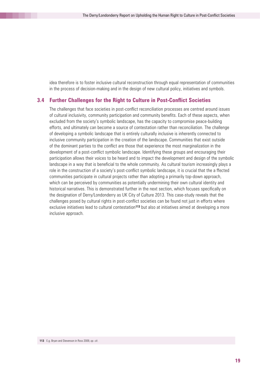idea therefore is to foster inclusive cultural reconstruction through equal representation of communities in the process of decision-making and in the design of new cultural policy, initiatives and symbols.

#### **3.4 Further Challenges for the Right to Culture in Post-Conflict Societies**

The challenges that face societies in post-conflict reconciliation processes are centred around issues of cultural inclusivity, community participation and community benefits. Each of these aspects, when excluded from the society's symbolic landscape, has the capacity to compromise peace-building efforts, and ultimately can become a source of contestation rather than reconciliation. The challenge of developing a symbolic landscape that is entirely culturally inclusive is inherently connected to inclusive community participation in the creation of the landscape. Communities that exist outside of the dominant parties to the conflict are those that experience the most marginalization in the development of a post-conflict symbolic landscape. Identifying these groups and encouraging their participation allows their voices to be heard and to impact the development and design of the symbolic landscape in a way that is beneficial to the whole community. As cultural tourism increasingly plays a role in the construction of a society's post-conflict symbolic landscape, it is crucial that the a ffected communities participate in cultural projects rather than adopting a primarily top-down approach, which can be perceived by communities as potentially undermining their own cultural identity and historical narratives. This is demonstrated further in the next section, which focuses specifically on the designation of Derry/Londonderry as UK City of Culture 2013. This case-study reveals that the challenges posed by cultural rights in post-conflict societies can be found not just in efforts where exclusive initiatives lead to cultural contestation**<sup>113</sup>** but also at initiatives aimed at developing a more inclusive approach.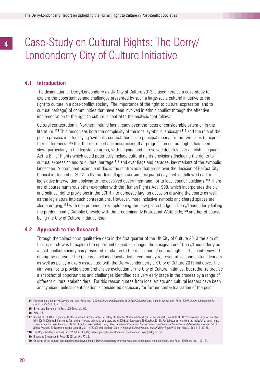### **<sup>4</sup>** Case-Study on Cultural Rights: The Derry/ Londonderry City of Culture Initiative

#### **4.1 Introduction**

The designation of Derry/Londonderry as UK City of Culture 2013 is used here as a case-study to explore the opportunities and challenges presented by such a large-scale cultural initiative to the right to culture in a post-conflict society. The importance of the right to cultural expression (and to cultural heritage) of communities that have been involved in ethnic conflict through the effective implementation to the right to culture is central to the analysis that follows.

Cultural contestation in Northern Ireland has already been the focus of considerable attention in the literature.**<sup>114</sup>** This recognises both the complexity of the local symbolic landscape**<sup>115</sup>** and the role of the peace process in intensifying 'symbolic contestation' as 'a principal means for the two sides to express their differences.'**<sup>116</sup>** It is therefore perhaps unsurprising that progress on cultural rights has been slow, particularly in the legislative arena, with ongoing and unresolved debates over an Irish Language Act, a Bill of Rights which could potentially include cultural rights provisions (including the rights to cultural expression and to cultural heritage)**<sup>117</sup>** and over flags and parades, key markers of the symbolic landscape. A prominent example of this is the controversy that arose over the decision of Belfast City Council in December 2012 to fly the Union flag on certain designated days, which followed earlier legislative intervention applying to the devolved government and not to local council buildings.**<sup>118</sup>** There are of course numerous other examples with the Human Rights Act 1998, which incorporates the civil and political rights provisions in the ECHR into domestic law, on occasion drawing the courts as well as the legislature into such contestations. However, more inclusive symbols and shared spaces are also emerging,**<sup>119</sup>** with one prominent example being the new peace bridge in Derry/Londonderry linking the predominantly Catholic Cityside with the predominantly Protestant Waterside,**<sup>120</sup>** another of course being the City of Culture initiative itself.

#### **4.2 Approach to the Research**

Through the collection of qualitative data in the first quarter of the UK City of Culture 2013 the aim of this research was to explore the opportunities and challenges the designation of Derry/Londonderry as a post-conflict society has presented in relation to the realisation of cultural rights. Those interviewed during the course of the research included local artists, community representatives and cultural leaders as well as policy-makers associated with the Derry/Londonderry UK City of Culture 2013 initiative. The aim was not to provide a comprehensive evaluation of the City of Culture Initiative, but rather to provide a snapshot of opportunities and challenges identified at a very early stage in the process by a range of different cultural stakeholders. For this reason quotes from local artists and cultural leaders have been anonymised, unless identification is considered necessary for further contextualisation of the point

**<sup>114</sup>** For example, Joanne McEvoy *op. cit*., *and* Ross (ed.) (2009) *Culture and Belonging in Divided Societies* Chs. 4 and 5, *op. cit*. and Ross (2007) *Culture Contestation in Ethnic Conflict* Ch. 4, *op. cit*. op

**<sup>115</sup>** Bryan and Stevenson in Ross (2009) *op. cit*., 69.

**<sup>116</sup>** *Ibid*., 73.

**<sup>117</sup>** See NIHRC, A Bill of Rights for Northern Ireland: Advice to the Secretary of State for Northern Ireland, 10 December 2008, available at http://www.nihrc.org/documents/ bill%20of%20rights/bill-of-rights-for-northern-ireland-advice-to-secretary-state-2008.pdf (*accessed* 29 October 2013). For debates surrounding the inclusion of such rights in any future Northern Ireland or UK Bill of Rights, *see* Elizabeth Craig, *The Framework Convention for the Protection of National Minorities and the Northern Ireland Bill of Rights Process*, 60 Northern Ireland Legal Q. 201-11 (2009) and Elizabeth Craig, *A Right to Cultural Identity in a UK Bill of Rights?* 19 Eur. Pub. L., 689-714 (2013).

**<sup>118</sup>** The Flags (Northern Ireland) Order 2000. On the flags issue generally, see Bryan and Stevenson in Ross (2009) *op. cit*.

**<sup>119</sup>** Bryan and Stevenson in Ross (2009) *op. cit*., 77-82.

**<sup>120</sup>** On some of the cultural contestations that have arisen in Derry/Londonderry over the years and subsequent 'ritual definition,' *see* Ross (2007), *op. cit*., 117-121.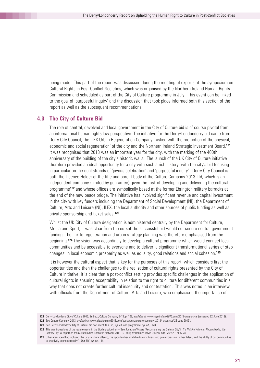being made. This part of the report was discussed during the meeting of experts at the symposium on Cultural Rights in Post-Conflict Societies, which was organised by the Northern Ireland Human Rights Commission and scheduled as part of the City of Culture programme in July. This event can be linked to the goal of 'purposeful inquiry' and the discussion that took place informed both this section of the report as well as the subsequent recommendations.

#### **4.3 The City of Culture Bid**

The role of central, devolved and local government in the City of Culture bid is of course pivotal from an international human rights law perspective. The initiative for the Derry/Londonderry bid came from Derry City Council, the ILEX Urban Regeneration Company 'tasked with the promotion of the physical, economic and social regeneration' of the city and the Northern Ireland Strategic Investment Board.**<sup>121</sup>** It was recognised that 2013 was an important year for the city, with the marking of the 400th anniversary of the building of the city's historic walls. The launch of the UK City of Culture initiative therefore provided an ideal opportunity for a city with such a rich history, with the city's bid focusing in particular on the dual strands of 'joyous celebration' and 'purposeful inquiry'. Derry City Council is both the Licence Holder of the title and parent body of the Culture Company 2013 Ltd, which is an independent company (limited by guarantee) given the task of developing and delivering the cultural programme**<sup>122</sup>** and whose offices are symbolically based at the former Ebrington military barracks at the end of the new peace bridge. The initiative has involved significant revenue and capital investment in the city with key funders including the Department of Social Development (NI), the Department of Culture, Arts and Leisure (NI), ILEX, the local authority and other sources of public funding as well as private sponsorship and ticket sales.**<sup>123</sup>**

Whilst the UK City of Culture designation is administered centrally by the Department for Culture, Media and Sport, it was clear from the outset the successful bid would not secure central government funding. The link to regeneration and urban strategy planning was therefore emphasised from the beginning.**<sup>124</sup>** The vision was accordingly to develop a cultural programme which would connect local communities and be accessible to everyone and to deliver 'a significant transformational series of step changes' in local economic prosperity as well as equality, good relations and social cohesion.**<sup>125</sup>**

It is however the cultural aspect that is key for the purposes of this report, which considers first the opportunities and then the challenges to the realisation of cultural rights presented by the City of Culture initiative. It is clear that a post-conflict setting provides specific challenges in the application of cultural rights in ensuring acceptability in relation to the right to culture for different communities in a way that does not create further cultural insecurity and contestation. This was noted in an interview with officials from the Department of Culture, Arts and Leisure, who emphasised the importance of

**<sup>121</sup>** Derry-Londonderry City of Culture 2013, 2nd ed., Culture Company 2-13, p. 122, *available at www.cityofculture2013.com/2013-programme* (*accessed* 22 June 2013).

**<sup>122</sup>** *See* Culture Company 2013, *available at* www.cityofculture2013.com/background/culture-company-2013/ (*accessed* 22 June 2013).

**<sup>123</sup>** *See* Derry-Londonderry 'City of Culture' bid document 'Our Bid,' *op. cit*. and programme, *op. cit*., 123.

**<sup>124</sup>** This was indeed one of the requirements in the bidding guidelines – See Jonathan Vickery 'Reconsidering the Cultural City' in *It's Not the Winning: Reconsidering the Cultural City*, A Report on the Cultural Cities Research Network 2011-12, Kerry Wilson and David O'Brien, eds. (July 2012) 32-35.

<sup>125</sup> Other areas identified included 'the City's cultural offering; the opportunities available to our citizens and give expression to their talent; and the ability of our communities to creatively connect globally.' ('Our Bid', *op. cit*., 4).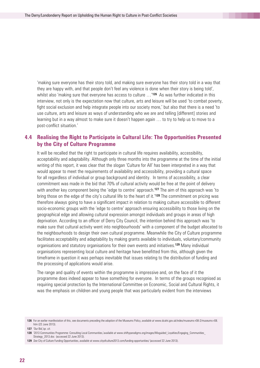'making sure everyone has their story told, and making sure everyone has their story told in a way that they are happy with, and that people don't feel any violence is done when their story is being told', whilst also 'making sure that everyone has access to culture …'**<sup>126</sup>** As was further indicated in this interview, not only is the expectation now that culture, arts and leisure will be used 'to combat poverty, fight social exclusion and help integrate people into our society more,' but also that there is a need 'to use culture, arts and leisure as ways of understanding who we are and telling [different] stories and learning but in a way almost to make sure it doesn't happen again ... to try to help us to move to a post-conflict situation.'

#### **4.4 Realising the Right to Participate in Cultural Life: The Opportunities Presented by the City of Culture Programme**

It will be recalled that the right to participate in cultural life requires availability, accessibility, acceptability and adaptability. Although only three months into the programme at the time of the initial writing of this report, it was clear that the slogan 'Culture for All' has been interpreted in a way that would appear to meet the requirements of availability and accessibility, providing a cultural space for all regardless of individual or group background and identity. In terms of accessibility, a clear commitment was made in the bid that 70% of cultural activity would be free at the point of delivery with another key component being the 'edge to centre' approach.**<sup>127</sup>** The aim of this approach was 'to bring those on the edge of the city's cultural life to the heart of it.'**<sup>128</sup>** The commitment on pricing was therefore always going to have a significant impact in relation to making culture accessible to different socio-economic groups with the 'edge to centre' approach ensuring accessibility to those living on the geographical edge and allowing cultural expression amongst individuals and groups in areas of high deprivation. According to an officer of Derry City Council, the intention behind this approach was 'to make sure that cultural activity went into neighbourhoods' with a component of the budget allocated to the neighbourhoods to design their own cultural programme. Meanwhile the City of Culture programme facilitates acceptability and adaptability by making grants available to individuals, voluntary/community organisations and statutory organisations for their own events and initiatives.**<sup>129</sup>** Many individual organisations representing local culture and heritage have benefitted from this, although given the timeframe in question it was perhaps inevitable that issues relating to the distribution of funding and the processing of applications would arise.

The range and quality of events within the programme is impressive and, on the face of it the programme does indeed appear to have something for everyone. In terms of the groups recognised as requiring special protection by the International Committee on Economic, Social and Cultural Rights, it was the emphasis on children and young people that was particularly evident from the interviews

**<sup>126</sup>** For an earlier manifestation of this, see documents preceding the adoption of the Museums Policy, *available at* www.dcalni.gov.uk/index/museums-r08-2/museums-r08. htm (22 June 2013).

**<sup>127</sup>** 'Our Bid,'*op. cit*.

**<sup>128</sup>** '2013 Communities Programme: Consulting Local Communities,'*available at* www.shiftyparadigms.org/images/Misguided\_Loyalties/Engaging\_Communities\_ Strategy\_2013.doc\_(accessed 22 June 2013).

**<sup>129</sup>** *See* City of Culture Funding Opportunities, *available* at www.cityofculture2013.com/funding-opportunities/ (*accessed* 22 June 2013).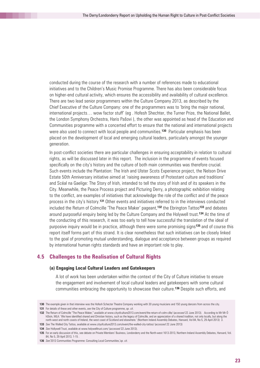conducted during the course of the research with a number of references made to educational initiatives and to the Children's Music Promise Programme. There has also been considerable focus on higher-end cultural activity, which ensures the accessibility and availability of cultural excellence. There are two lead senior programmers within the Culture Company 2013, as described by the Chief Executive of the Culture Company: one of the programmers was to 'bring the major national, international projects… wow factor stuff' (eg . Hofesh Shechter, the Turner Prize, the National Ballet, the London Symphony Orchestra, Haris Pašovi), the other was appointed as head of the Education and Communities programme with a concerted effort to ensure that the national and international projects were also used to connect with local people and communities.**<sup>130</sup>** Particular emphasis has been placed on the development of local and emerging cultural leaders, particularly amongst the younger generation.

In post-conflict societies there are particular challenges in ensuring acceptability in relation to cultural rights, as will be discussed later in this report. The inclusion in the programme of events focused specifically on the city's history and the culture of both main communities was therefore crucial. Such events include the Plantation: The Irish and Ulster Scots Experience project, the Nelson Drive Estate 50th Anniversary initiative aimed at 'raising awareness of Protestant culture and traditions' and Scéal na Gaelige: The Story of Irish, intended to tell the story of Irish and of its speakers in the City. Meanwhile, the Peace Process project and Picturing Derry, a photographic exhibition relating to the conflict, are examples of initiatives that acknowledge the role of the conflict and of the peace process in the city's history.**<sup>131</sup>** Other events and initiatives referred to in the interviews conducted included the Return of Colmcille 'The Peace Maker' pageant,**<sup>132</sup>** the Ebrington Tattoo**<sup>133</sup>** and debates around purposeful enquiry being led by the Culture Company and the Holywell trust.**<sup>134</sup>** At the time of the conducting of this research, it was too early to tell how successful the translation of the ideal of purposive inquiry would be in practice, although there were some promising signs**<sup>135</sup>** and of course this report itself forms part of this strand. It is clear nonetheless that such initiatives can be closely linked to the goal of promoting mutual understanding, dialogue and acceptance between groups as required by international human rights standards and have an important role to play.

#### **4.5 Challenges to the Realisation of Cultural Rights**

#### **(a) Engaging Local Cultural Leaders and Gatekeepers**

A lot of work has been undertaken within the context of the City of Culture initiative to ensure the engagement and involvement of local cultural leaders and gatekeepers with some cultural communities embracing the opportunity to showcase their culture.**<sup>136</sup>** Despite such efforts, and

<sup>130</sup> The example given in that interview was the Hofesh Schecter Theatre Company working with 30 young musicians and 150 young dancers from across the city. **131** For details of these and other events, *see* the City of Culture programme, *op. cit*.

**<sup>132</sup>** The Return of Colmcille "The Peace Maker," *available at* www.cityofculture2013.com/event/the-return-of-colm-cille/ (*accessed* 22 June 2013). According to Mr Mr Ó hOisín, MLA: 'We have identified shared and Christian history, such as the legacy of Colmcille, and an appreciation of a shared tradition, not only locally, but along the north-west and north coasts of Ireland, the west coast of Scotland and elsewhere.' (Northern Ireland Assembly Debates, Hansard, Vol 84, No 5, 29 April 2013) 3.

**<sup>133</sup>** *See* The Walled City Tattoo, available at www.cityofculture2013.com/event/the-walled-city-tattoo/ (*accessed* 22 June 2013)

**<sup>134</sup>** *See* Hollywell Trust, available at www.holywelltrust.com/ (*accessed* 22 June 2013).

<sup>135</sup> For an early discussion of this, see debate on Private Members' Business, Londonderry and the North-west 1613-2013, Northern Ireland Assembly Debates, Hansard, Vol. 84, No 5, 29 April 2013, 1-15

**<sup>136</sup>** *See*'2013 Communities Programme: Consulting Local Communities,'*op. cit*.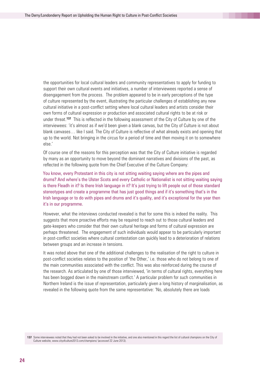the opportunities for local cultural leaders and community representatives to apply for funding to support their own cultural events and initiatives, a number of interviewees reported a sense of disengagement from the process. The problem appeared to be in early perceptions of the type of culture represented by the event, illustrating the particular challenges of establishing any new cultural initiative in a post-conflict setting where local cultural leaders and artists consider their own forms of cultural expression or production and associated cultural rights to be at risk or under threat.**<sup>137</sup>** This is reflected in the following assessment of the City of Culture by one of the interviewees: 'it's almost as if we'd been given a blank canvas, but the City of Culture is not about blank canvases… like I said. The City of Culture is reflective of what already exists and opening that up to the world. Not bringing in the circus for a period of time and then moving it on to somewhere else.'

Of course one of the reasons for this perception was that the City of Culture initiative is regarded by many as an opportunity to move beyond the dominant narratives and divisions of the past, as reflected in the following quote from the Chief Executive of the Culture Company:

You know, every Protestant in this city is not sitting waiting saying where are the pipes and drums? And where's the Ulster Scots and every Catholic or Nationalist is not sitting waiting saying is there Fleadh in it? Is there Irish language in it? It's just trying to lift people out of those standard stereotypes and create a programme that has just good things and if it's something that's in the Irish language or to do with pipes and drums and it's quality, and it's exceptional for the year then it's in our programme.

However, what the interviews conducted revealed is that for some this is indeed the reality. This suggests that more proactive efforts may be required to reach out to those cultural leaders and gate-keepers who consider that their own cultural heritage and forms of cultural expression are perhaps threatened. The engagement of such individuals would appear to be particularly important in post-conflict societies where cultural contestation can quickly lead to a deterioration of relations between groups and an increase in tensions.

It was noted above that one of the additional challenges to the realisation of the right to culture in post-conflict societies relates to the position of 'the Other,' i.e. those who do not belong to one of the main communities associated with the conflict. This was also reinforced during the course of the research. As articulated by one of those interviewed, 'in terms of cultural rights, everything here has been bogged down in the mainstream conflict.' A particular problem for such communities in Northern Ireland is the issue of representation, particularly given a long history of marginalisation, as revealed in the following quote from the same representative: 'No, absolutely there are loads

<sup>137</sup> Some interviewees noted that they had not been asked to be involved in the initiative, and one also mentioned in this regard the list of cultural champions on the City of Culture website, www.cityofculture2013.com/champions/ (*accessed* 22 June 2013).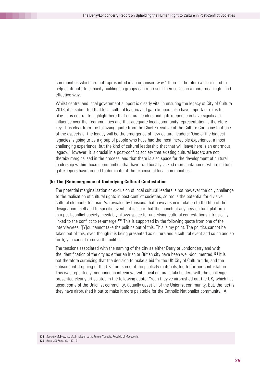communities which are not represented in an organised way.' There is therefore a clear need to help contribute to capacity building so groups can represent themselves in a more meaningful and effective way.

Whilst central and local government support is clearly vital in ensuring the legacy of City of Culture 2013, it is submitted that local cultural leaders and gate-keepers also have important roles to play. It is central to highlight here that cultural leaders and gatekeepers can have significant influence over their communities and that adequate local community representation is therefore key. It is clear from the following quote from the Chief Executive of the Culture Company that one of the aspects of the legacy will be the emergence of new cultural leaders: 'One of the biggest legacies is going to be a group of people who have had the most incredible experience, a most challenging experience, but the kind of cultural leadership that that will leave here is an enormous legacy.' However, it is crucial in a post-conflict society that existing cultural leaders are not thereby marginalised in the process, and that there is also space for the development of cultural leadership within those communities that have traditionally lacked representation or where cultural gatekeepers have tended to dominate at the expense of local communities.

#### **(b) The (Re)emergence of Underlying Cultural Contestation**

The potential marginalisation or exclusion of local cultural leaders is not however the only challenge to the realisation of cultural rights in post-conflict societies, so too is the potential for divisive cultural elements to arise. As revealed by tensions that have arisen in relation to the title of the designation itself and to specific events, it is clear that the launch of any new cultural platform in a post-conflict society inevitably allows space for underlying cultural contestations intrinsically linked to the conflict to re-emerge.**<sup>138</sup>** This is supported by the following quote from one of the interviewees: '[Y]ou cannot take the politics out of this. This is my point. The politics cannot be taken out of this, even though it is being presented as culture and a cultural event and so on and so forth, you cannot remove the politics.'

The tensions associated with the naming of the city as either Derry or Londonderry and with the identification of the city as either an Irish or British city have been well-documented.**<sup>139</sup>** It is not therefore surprising that the decision to make a bid for the UK City of Culture title, and the subsequent dropping of the UK from some of the publicity materials, led to further contestation. This was repeatedly mentioned in interviews with local cultural stakeholders with the challenge presented clearly articulated in the following quote: 'Yeah they've airbrushed out the UK, which has upset some of the Unionist community, actually upset all of the Unionist community. But, the fact is they have airbrushed it out to make it more palatable for the Catholic Nationalist community.' A

**138** *See also* McEvoy, *op. cit.*, in relation to the Former Yugoslav Republic of Macedonia.

**139** Ross (2007) *op. cit*., 117-121.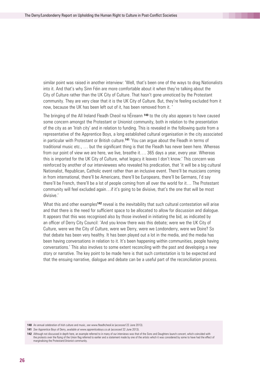similar point was raised in another interview: 'Well, that's been one of the ways to drag Nationalists into it. And that's why Sinn Féin are more comfortable about it when they're talking about the City of Culture rather than the UK City of Culture. That hasn't gone unnoticed by the Protestant community. They are very clear that it is the UK City of Culture. But, they're feeling excluded from it now, because the UK has been left out of it, has been removed from it. '

The bringing of the All Ireland Fleadh Cheoil na hÉireann **<sup>140</sup>** to the city also appears to have caused some concern amongst the Protestant or Unionist community, both in relation to the presentation of the city as an 'Irish city' and in relation to funding. This is revealed in the following quote from a representative of the Apprentice Boys, a long established cultural organisation in the city associated in particular with Protestant or British culture.**<sup>141</sup>** 'You can argue about the Fleadh in terms of traditional music etc., … but the significant thing is that the Fleadh has never been here. Whereas from our point of view we are here, we live, breathe it…. 365 days a year, every year. Whereas this is imported for the UK City of Culture, what legacy it leaves I don't know.' This concern was reinforced by another of our interviewees who revealed his predication, that 'it will be a big cultural Nationalist, Republican, Catholic event rather than an inclusive event. There'll be musicians coming in from international, there'll be Americans, there'll be Europeans, there'll be Germans, I'd say there'll be French, there'll be a lot of people coming from all over the world for it… The Protestant community will feel excluded again…if it's going to be divisive, that's the one that will be most divisive.'

What this and other examples**<sup>142</sup>** reveal is the inevitability that such cultural contestation will arise and that there is the need for sufficient space to be allocated to allow for discussion and dialogue. It appears that this was recognised also by those involved in initiating the bid, as indicated by an officer of Derry City Council: 'And you know there was this debate; were we the UK City of Culture, were we the City of Culture, were we Derry, were we Londonderry, were we Doire? So that debate has been very healthy. It has been played out a lot in the media, and the media has been having conversations in relation to it. It's been happening within communities, people having conversations.' This also involves to some extent reconciling with the past and developing a new story or narrative. The key point to be made here is that such contestation is to be expected and that the ensuing narrative, dialogue and debate can be a useful part of the reconciliation process.

**<sup>140</sup>** An annual celebration of Irish culture and music, *see* www.fleadhcheoil.ie (*accessed* 22 June 2013).

**<sup>141</sup>** *See* Apprentice Boys of Derry, *available at* www.apprenticeboys.co.uk (*accessed* 22 June 2013).

<sup>142</sup> Although not discussed in depth here, an example referred to in many of our interviews was that of the Sons and Daughters launch concert, which coincided with the protests over the flying of the Union flag referred to earlier and a statement made by one of the artists which it was considered by some to have had the effect of marginalising the Protestant/Unionist community.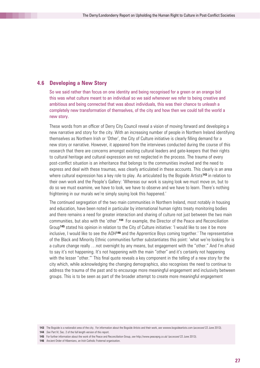#### **4.6 Developing a New Story**

So we said rather than focus on one identity and being recognised for a green or an orange bid this was what culture meant to an individual so we said whenever we refer to being creative and ambitious and being connected that was about individuals, this was their chance to unleash a completely new transformation of themselves, of the city and how then we could tell the world a new story.

These words from an officer of Derry City Council reveal a vision of moving forward and developing a new narrative and story for the city. With an increasing number of people in Northern Ireland identifying themselves as Northern Irish or 'Other', the City of Culture initiative is clearly filling demand for a new story or narrative. However, it appeared from the interviews conducted during the course of this research that there are concerns amongst existing cultural leaders and gate-keepers that their rights to cultural heritage and cultural expression are not neglected in the process. The trauma of every post-conflict situation is an inheritance that belongs to the communities involved and the need to express and deal with these traumas, was clearly articulated in these accounts. This clearly is an area where cultural expression has a key role to play. As articulated by the Bogside Artists**<sup>143</sup>** in relation to their own work and the People's Gallery: 'Whereas our work is saying look we must move on, but to do so we must examine, we have to look, we have to observe and we have to learn. There's nothing frightening in our murals we're simply saying look this happened.'

The continued segregation of the two main communities in Northern Ireland, most notably in housing and education, have been noted in particular by international human rights treaty monitoring bodies and there remains a need for greater interaction and sharing of culture not just between the two main communities, but also with the 'other'.**<sup>144</sup>** For example, the Director of the Peace and Reconciliation Group**<sup>145</sup>** stated his opinion in relation to the City of Culture initiative: 'I would like to see it be more inclusive, I would like to see the AOH**<sup>146</sup>** and the Apprentice Boys coming together.' The representative of the Black and Minority Ethnic communities further substantiates this point: 'what we're looking for is a culture change really …not overnight by any means, but engagement with the "other." And I'm afraid to say it's not happening. It's not happening with the main "other" and it's certainly not happening with the lesser "other."' This final quote reveals a key component in the telling of a new story for the city which, while acknowledging the changing demographics, also recognises the need to continue to address the trauma of the past and to encourage more meaningful engagement and inclusivity between groups. This is to be seen as part of the broader attempt to create more meaningful engagement

**146** Ancient Order of Hibernians, an Irish Catholic Fraternal organisation.

**<sup>143</sup>** The Bogside is a nationalist area of the city. For information about the Bogside Artists and their work, *see* wwww.bogsideartists.com (*accessed* 22 June 2013).

**<sup>144</sup>** *See* Part IV, Sec. 2 of the full length version of this report.

**<sup>145</sup>** For further information about the work of the Peace and Reconciliation Group, *see* http://www.peaceprg.co.uk/ (*accessed* 22 June 2013).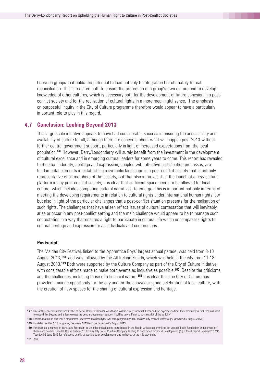between groups that holds the potential to lead not only to integration but ultimately to real reconciliation. This is required both to ensure the protection of a group's own culture and to develop knowledge of other cultures, which is necessary both for the development of future cohesion in a postconflict society and for the realisation of cultural rights in a more meaningful sense. The emphasis on purposeful inquiry in the City of Culture programme therefore would appear to have a particularly important role to play in this regard.

#### **4.7 Conclusion: Looking Beyond 2013**

This large-scale initiative appears to have had considerable success in ensuring the accessibility and availability of culture for all, although there are concerns about what will happen post-2013 without further central government support, particularly in light of increased expectations from the local population.**<sup>147</sup>** However, Derry/Londonderry will surely benefit from the investment in the development of cultural excellence and in emerging cultural leaders for some years to come. This report has revealed that cultural identity, heritage and expression, coupled with effective participation processes, are fundamental elements in establishing a symbolic landscape in a post-conflict society that is not only representative of all members of the society, but that also improves it. In the launch of a new cultural platform in any post-conflict society, it is clear that sufficient space needs to be allowed for local culture, which includes competing cultural narratives, to emerge. This is important not only in terms of meeting the developing requirements in relation to cultural rights under international human rights law but also in light of the particular challenges that a post-conflict situation presents for the realisation of such rights. The challenges that have arisen reflect issues of cultural contestation that will inevitably arise or occur in any post-conflict setting and the main challenge would appear to be to manage such contestation in a way that ensures a right to participate in cultural life which encompasses rights to cultural heritage and expression for all individuals and communities.

#### **Postscript**

The Maiden City Festival, linked to the Apprentice Boys' largest annual parade, was held from 3-10 August 2013,**<sup>148</sup>** and was followed by the All-Ireland Fleadh, which was held in the city from 11-18 August 2013.**<sup>149</sup>** Both were supported by the Culture Company as part of the City of Culture initiative, with considerable efforts made to make both events as inclusive as possible.**<sup>150</sup>** Despite the criticisms and the challenges, including those of a financial nature,**<sup>151</sup>** it is clear that the City of Culture has provided a unique opportunity for the city and for the showcasing and celebration of local culture, with the creation of new spaces for the sharing of cultural expression and heritage.

**151** *Ibid*.

<sup>147</sup> One of the concerns expressed by the officer of Derry City Council was that it 'will be a very successful year and the expectation from the community is that they will want to extend this beyond and unless we get the central government support it will be very difficult to sustain a lot of the activity.'

**<sup>148</sup>** For information on this year's programme, *see* www.maidencityfestival.com/programme/2013-maiden-city-festival-ready-to-go/ (*accessed* 5 August 2013).

**<sup>149</sup>** For details of the 2013 programe, *see* www.2013fleadh.ie (*accessed* 5 August 2013).

<sup>150</sup> For example, a number of bands and Protestant or Unionist organisations participated in the Fleadh with a subcommittee set up specifically focused on engagement of these communities . See UK City of Culture 2013: Derry City Council/Culture Company Briefing to Committee for Social Development (NI), Official Report Hansard 2012/13, Tuesday 06 June 2013 for reflections on this as well as other developments and initiatives at the mid-way point.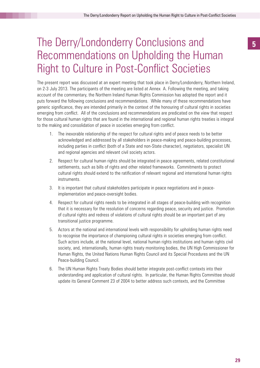### The Derry/Londonderry Conclusions and Recommendations on Upholding the Human Right to Culture in Post-Conflict Societies

The present report was discussed at an expert meeting that took place in Derry/Londonderry, Northern Ireland, on 2-3 July 2013. The participants of the meeting are listed at Annex A. Following the meeting, and taking account of the commentary, the Northern Ireland Human Rights Commission has adopted the report and it puts forward the following conclusions and recommendations. While many of these recommendations have generic significance, they are intended primarily in the context of the honouring of cultural rights in societies emerging from conflict. All of the conclusions and recommendations are predicated on the view that respect for those cultural human rights that are found in the international and regional human rights treaties is integral to the making and consolidation of peace in societies emerging from conflict.

- 1. The inexorable relationship of the respect for cultural rights and of peace needs to be better acknowledged and addressed by all stakeholders in peace-making and peace-building processes, including parties in conflict (both of a State and non-State character), negotiators, specialist UN and regional agencies and relevant civil society actors.
- 2. Respect for cultural human rights should be integrated in peace agreements, related constitutional settlements, such as bills of rights and other related frameworks. Commitments to protect cultural rights should extend to the ratification of relevant regional and international human rights instruments.
- 3. It is important that cultural stakeholders participate in peace negotiations and in peaceimplementation and peace-oversight bodies.
- 4. Respect for cultural rights needs to be integrated in all stages of peace-building with recognition that it is necessary for the resolution of concerns regarding peace, security and justice. Promotion of cultural rights and redress of violations of cultural rights should be an important part of any transitional justice programme.
- 5. Actors at the national and international levels with responsibility for upholding human rights need to recognise the importance of championing cultural rights in societies emerging from conflict. Such actors include, at the national level, national human rights institutions and human rights civil society, and, internationally, human rights treaty monitoring bodies, the UN High Commissioner for Human Rights, the United Nations Human Rights Council and its Special Procedures and the UN Peace-building Council.
- 6. The UN Human Rights Treaty Bodies should better integrate post-conflict contexts into their understanding and application of cultural rights. In particular, the Human Rights Committee should update its General Comment 23 of 2004 to better address such contexts, and the Committee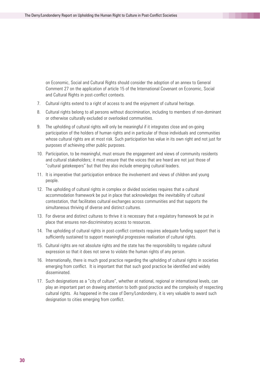on Economic, Social and Cultural Rights should consider the adoption of an annex to General Comment 27 on the application of article 15 of the International Covenant on Economic, Social and Cultural Rights in post-conflict contexts.

- 7. Cultural rights extend to a right of access to and the enjoyment of cultural heritage.
- 8. Cultural rights belong to all persons without discrimination, including to members of non-dominant or otherwise culturally excluded or overlooked communities.
- 9. The upholding of cultural rights will only be meaningful if it integrates close and on-going participation of the holders of human rights and in particular of those individuals and communities whose cultural rights are at most risk. Such participation has value in its own right and not just for purposes of achieving other public purposes.
- 10. Participation, to be meaningful, must ensure the engagement and views of community residents and cultural stakeholders; it must ensure that the voices that are heard are not just those of "cultural gatekeepers" but that they also include emerging cultural leaders.
- 11. It is imperative that participation embrace the involvement and views of children and young people.
- 12. The upholding of cultural rights in complex or divided societies requires that a cultural accommodation framework be put in place that acknowledges the inevitability of cultural contestation, that facilitates cultural exchanges across communities and that supports the simultaneous thriving of diverse and distinct cultures.
- 13. For diverse and distinct cultures to thrive it is necessary that a regulatory framework be put in place that ensures non-discriminatory access to resources.
- 14. The upholding of cultural rights in post-conflict contexts requires adequate funding support that is sufficiently sustained to support meaningful progressive realisation of cultural rights.
- 15. Cultural rights are not absolute rights and the state has the responsibility to regulate cultural expression so that it does not serve to violate the human rights of any person.
- 16. Internationally, there is much good practice regarding the upholding of cultural rights in societies emerging from conflict. It is important that that such good practice be identified and widely disseminated.
- 17. Such designations as a "city of culture", whether at national, regional or international levels, can play an important part on drawing attention to both good practice and the complexity of respecting cultural rights. As happened in the case of Derry/Londonderry, it is very valuable to award such designation to cities emerging from conflict.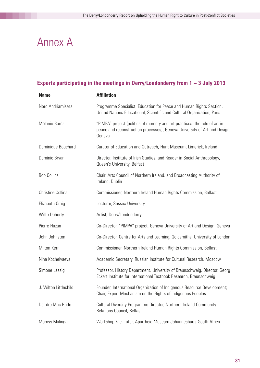## Annex A

### **Experts participating in the meetings in Derry/Londonderry from 1 – 3 July 2013**

| <b>Name</b>              | <b>Affiliation</b>                                                                                                                                               |
|--------------------------|------------------------------------------------------------------------------------------------------------------------------------------------------------------|
| Noro Andriamiseza        | Programme Specialist, Education for Peace and Human Rights Section,<br>United Nations Educational, Scientific and Cultural Organization, Paris                   |
| Mélanie Borès            | "PIMPA" project (politics of memory and art practices: the role of art in<br>peace and reconstruction processes), Geneva University of Art and Design,<br>Geneva |
| Dominique Bouchard       | Curator of Education and Outreach, Hunt Museum, Limerick, Ireland                                                                                                |
| Dominic Bryan            | Director, Institute of Irish Studies, and Reader in Social Anthropology,<br>Queen's University, Belfast                                                          |
| <b>Bob Collins</b>       | Chair, Arts Council of Northern Ireland, and Broadcasting Authority of<br>Ireland, Dublin                                                                        |
| <b>Christine Collins</b> | Commissioner, Northern Ireland Human Rights Commission, Belfast                                                                                                  |
| Elizabeth Craig          | Lecturer, Sussex University                                                                                                                                      |
| <b>Willie Doherty</b>    | Artist, Derry/Londonderry                                                                                                                                        |
| Pierre Hazan             | Co-Director, "PIMPA" project, Geneva University of Art and Design, Geneva                                                                                        |
| John Johnston            | Co-Director, Centre for Arts and Learning, Goldsmiths, University of London                                                                                      |
| Milton Kerr              | Commissioner, Northern Ireland Human Rights Commission, Belfast                                                                                                  |
| Nina Kochelyaeva         | Academic Secretary, Russian Institute for Cultural Research, Moscow                                                                                              |
| Simone Lässig            | Professor, History Department, University of Braunschweig, Director, Georg<br>Eckert Institute for International Textbook Research, Braunschweig                 |
| J. Wilton Littlechild    | Founder, International Organization of Indigenous Resource Development;<br>Chair, Expert Mechanism on the Rights of Indigenous Peoples                           |
| Deirdre Mac Bride        | Cultural Diversity Programme Director, Northern Ireland Community<br><b>Relations Council, Belfast</b>                                                           |
| Mumsy Malinga            | Workshop Facilitator, Apartheid Museum Johannesburg, South Africa                                                                                                |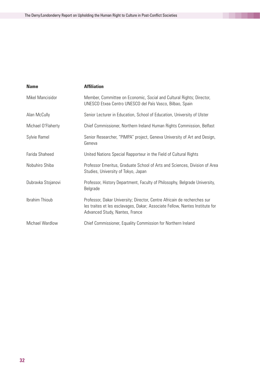| <b>Name</b>             | <b>Affiliation</b>                                                                                                                                                                         |
|-------------------------|--------------------------------------------------------------------------------------------------------------------------------------------------------------------------------------------|
| <b>Mikel Mancisidor</b> | Member, Committee on Economic, Social and Cultural Rights; Director,<br>UNESCO Etxea Centro UNESCO del País Vasco, Bilbao, Spain                                                           |
| Alan McCully            | Senior Lecturer in Education, School of Education, University of Ulster                                                                                                                    |
| Michael O'Flaherty      | Chief Commissioner, Northern Ireland Human Rights Commission, Belfast                                                                                                                      |
| Sylvie Ramel            | Senior Researcher, "PIMPA" project, Geneva University of Art and Design,<br>Geneva                                                                                                         |
| Farida Shaheed          | United Nations Special Rapporteur in the Field of Cultural Rights                                                                                                                          |
| Nobuhiro Shiba          | Professor Emeritus, Graduate School of Arts and Sciences, Division of Area<br>Studies, University of Tokyo, Japan                                                                          |
| Dubravka Stojanovi      | Professor, History Department, Faculty of Philosophy, Belgrade University,<br>Belgrade                                                                                                     |
| Ibrahim Thioub          | Professor, Dakar University; Director, Centre Africain de recherches sur<br>les traites et les esclavages, Dakar; Associate Fellow, Nantes Institute for<br>Advanced Study, Nantes, France |
| <b>Michael Wardlow</b>  | Chief Commissioner, Equality Commission for Northern Ireland                                                                                                                               |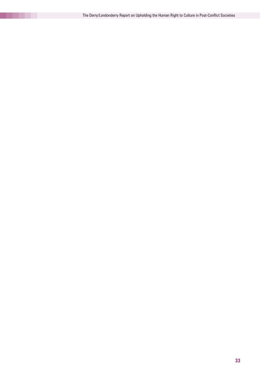The Derry/Londonderry Report on Upholding the Human Right to Culture in Post-Conflict Societies